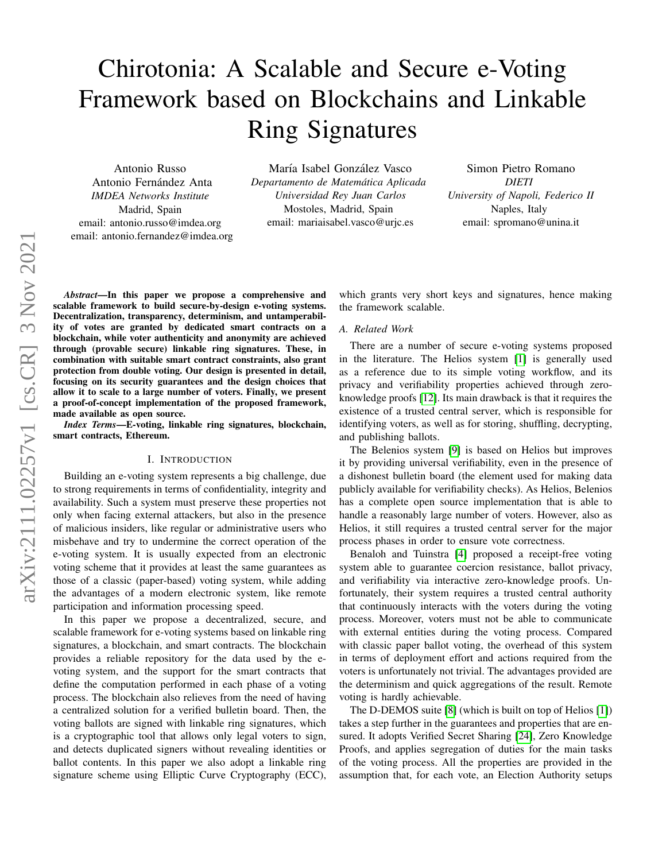# Chirotonia: A Scalable and Secure e-Voting Framework based on Blockchains and Linkable Ring Signatures

Antonio Russo Antonio Fernández Anta *IMDEA Networks Institute* Madrid, Spain email: antonio.russo@imdea.org email: antonio.fernandez@imdea.org

María Isabel González Vasco *Departamento de Matematica Aplicada ´ Universidad Rey Juan Carlos* Mostoles, Madrid, Spain email: mariaisabel.vasco@urjc.es

Simon Pietro Romano *DIETI University of Napoli, Federico II* Naples, Italy email: spromano@unina.it

*Abstract*—In this paper we propose a comprehensive and scalable framework to build secure-by-design e-voting systems. Decentralization, transparency, determinism, and untamperability of votes are granted by dedicated smart contracts on a blockchain, while voter authenticity and anonymity are achieved through (provable secure) linkable ring signatures. These, in combination with suitable smart contract constraints, also grant protection from double voting. Our design is presented in detail, focusing on its security guarantees and the design choices that allow it to scale to a large number of voters. Finally, we present a proof-of-concept implementation of the proposed framework, made available as open source.

*Index Terms*—E-voting, linkable ring signatures, blockchain, smart contracts, Ethereum.

## I. INTRODUCTION

Building an e-voting system represents a big challenge, due to strong requirements in terms of confidentiality, integrity and availability. Such a system must preserve these properties not only when facing external attackers, but also in the presence of malicious insiders, like regular or administrative users who misbehave and try to undermine the correct operation of the e-voting system. It is usually expected from an electronic voting scheme that it provides at least the same guarantees as those of a classic (paper-based) voting system, while adding the advantages of a modern electronic system, like remote participation and information processing speed.

In this paper we propose a decentralized, secure, and scalable framework for e-voting systems based on linkable ring signatures, a blockchain, and smart contracts. The blockchain provides a reliable repository for the data used by the evoting system, and the support for the smart contracts that define the computation performed in each phase of a voting process. The blockchain also relieves from the need of having a centralized solution for a verified bulletin board. Then, the voting ballots are signed with linkable ring signatures, which is a cryptographic tool that allows only legal voters to sign, and detects duplicated signers without revealing identities or ballot contents. In this paper we also adopt a linkable ring signature scheme using Elliptic Curve Cryptography (ECC), which grants very short keys and signatures, hence making the framework scalable.

## *A. Related Work*

There are a number of secure e-voting systems proposed in the literature. The Helios system [\[1\]](#page-9-0) is generally used as a reference due to its simple voting workflow, and its privacy and verifiability properties achieved through zeroknowledge proofs [\[12\]](#page-10-0). Its main drawback is that it requires the existence of a trusted central server, which is responsible for identifying voters, as well as for storing, shuffling, decrypting, and publishing ballots.

The Belenios system [\[9\]](#page-10-1) is based on Helios but improves it by providing universal verifiability, even in the presence of a dishonest bulletin board (the element used for making data publicly available for verifiability checks). As Helios, Belenios has a complete open source implementation that is able to handle a reasonably large number of voters. However, also as Helios, it still requires a trusted central server for the major process phases in order to ensure vote correctness.

Benaloh and Tuinstra [\[4\]](#page-9-1) proposed a receipt-free voting system able to guarantee coercion resistance, ballot privacy, and verifiability via interactive zero-knowledge proofs. Unfortunately, their system requires a trusted central authority that continuously interacts with the voters during the voting process. Moreover, voters must not be able to communicate with external entities during the voting process. Compared with classic paper ballot voting, the overhead of this system in terms of deployment effort and actions required from the voters is unfortunately not trivial. The advantages provided are the determinism and quick aggregations of the result. Remote voting is hardly achievable.

The D-DEMOS suite [\[8\]](#page-10-2) (which is built on top of Helios [\[1\]](#page-9-0)) takes a step further in the guarantees and properties that are ensured. It adopts Verified Secret Sharing [\[24\]](#page-10-3), Zero Knowledge Proofs, and applies segregation of duties for the main tasks of the voting process. All the properties are provided in the assumption that, for each vote, an Election Authority setups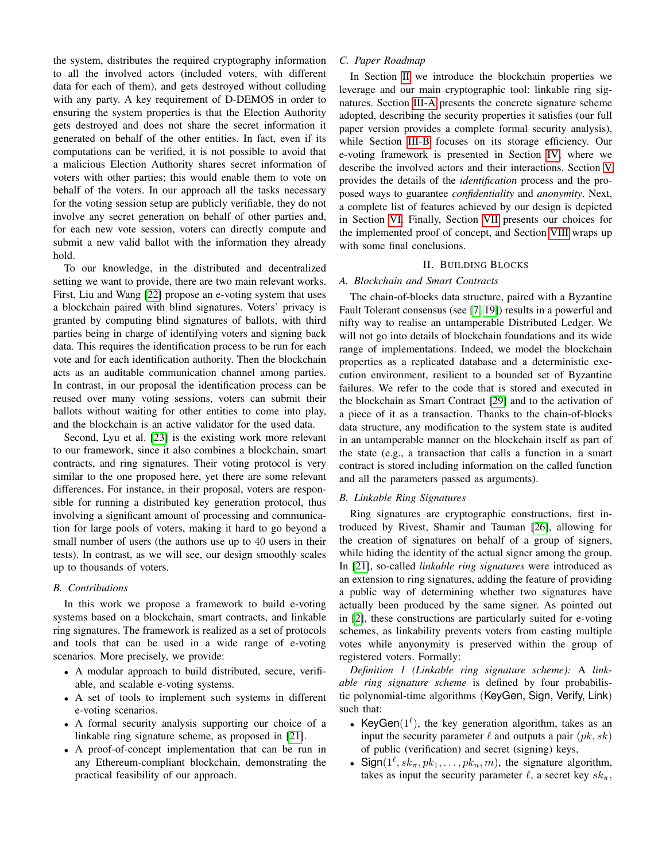the system, distributes the required cryptography information to all the involved actors (included voters, with different data for each of them), and gets destroyed without colluding with any party. A key requirement of D-DEMOS in order to ensuring the system properties is that the Election Authority gets destroyed and does not share the secret information it generated on behalf of the other entities. In fact, even if its computations can be verified, it is not possible to avoid that a malicious Election Authority shares secret information of voters with other parties; this would enable them to vote on behalf of the voters. In our approach all the tasks necessary for the voting session setup are publicly verifiable, they do not involve any secret generation on behalf of other parties and, for each new vote session, voters can directly compute and submit a new valid ballot with the information they already hold.

To our knowledge, in the distributed and decentralized setting we want to provide, there are two main relevant works. First, Liu and Wang [\[22\]](#page-10-4) propose an e-voting system that uses a blockchain paired with blind signatures. Voters' privacy is granted by computing blind signatures of ballots, with third parties being in charge of identifying voters and signing back data. This requires the identification process to be run for each vote and for each identification authority. Then the blockchain acts as an auditable communication channel among parties. In contrast, in our proposal the identification process can be reused over many voting sessions, voters can submit their ballots without waiting for other entities to come into play, and the blockchain is an active validator for the used data.

Second, Lyu et al. [\[23\]](#page-10-5) is the existing work more relevant to our framework, since it also combines a blockchain, smart contracts, and ring signatures. Their voting protocol is very similar to the one proposed here, yet there are some relevant differences. For instance, in their proposal, voters are responsible for running a distributed key generation protocol, thus involving a significant amount of processing and communication for large pools of voters, making it hard to go beyond a small number of users (the authors use up to 40 users in their tests). In contrast, as we will see, our design smoothly scales up to thousands of voters.

# *B. Contributions*

In this work we propose a framework to build e-voting systems based on a blockchain, smart contracts, and linkable ring signatures. The framework is realized as a set of protocols and tools that can be used in a wide range of e-voting scenarios. More precisely, we provide:

- A modular approach to build distributed, secure, verifiable, and scalable e-voting systems.
- A set of tools to implement such systems in different e-voting scenarios.
- A formal security analysis supporting our choice of a linkable ring signature scheme, as proposed in [\[21\]](#page-10-6).
- A proof-of-concept implementation that can be run in any Ethereum-compliant blockchain, demonstrating the practical feasibility of our approach.

# *C. Paper Roadmap*

In Section [II](#page-1-0) we introduce the blockchain properties we leverage and our main cryptographic tool: linkable ring signatures. Section [III-A](#page-2-0) presents the concrete signature scheme adopted, describing the security properties it satisfies (our full paper version provides a complete formal security analysis), while Section [III-B](#page-3-0) focuses on its storage efficiency. Our e-voting framework is presented in Section [IV,](#page-3-1) where we describe the involved actors and their interactions. Section [V](#page-5-0) provides the details of the *identification* process and the proposed ways to guarantee *confidentiality* and *anonymity*. Next, a complete list of features achieved by our design is depicted in Section [VI.](#page-7-0) Finally, Section [VII](#page-8-0) presents our choices for the implemented proof of concept, and Section [VIII](#page-9-2) wraps up with some final conclusions.

# II. BUILDING BLOCKS

# <span id="page-1-0"></span>*A. Blockchain and Smart Contracts*

The chain-of-blocks data structure, paired with a Byzantine Fault Tolerant consensus (see [\[7,](#page-10-7) [19\]](#page-10-8)) results in a powerful and nifty way to realise an untamperable Distributed Ledger. We will not go into details of blockchain foundations and its wide range of implementations. Indeed, we model the blockchain properties as a replicated database and a deterministic execution environment, resilient to a bounded set of Byzantine failures. We refer to the code that is stored and executed in the blockchain as Smart Contract [\[29\]](#page-10-9) and to the activation of a piece of it as a transaction. Thanks to the chain-of-blocks data structure, any modification to the system state is audited in an untamperable manner on the blockchain itself as part of the state (e.g., a transaction that calls a function in a smart contract is stored including information on the called function and all the parameters passed as arguments).

# <span id="page-1-1"></span>*B. Linkable Ring Signatures*

Ring signatures are cryptographic constructions, first introduced by Rivest, Shamir and Tauman [\[26\]](#page-10-10), allowing for the creation of signatures on behalf of a group of signers, while hiding the identity of the actual signer among the group. In [\[21\]](#page-10-6), so-called *linkable ring signatures* were introduced as an extension to ring signatures, adding the feature of providing a public way of determining whether two signatures have actually been produced by the same signer. As pointed out in [\[2\]](#page-9-3), these constructions are particularly suited for e-voting schemes, as linkability prevents voters from casting multiple votes while anyonymity is preserved within the group of registered voters. Formally:

*Definition 1 (Linkable ring signature scheme):* A *linkable ring signature scheme* is defined by four probabilistic polynomial-time algorithms (KeyGen, Sign, Verify, Link) such that:

- KeyGen( $1^{\ell}$ ), the key generation algorithm, takes as an input the security parameter  $\ell$  and outputs a pair  $(pk, sk)$ of public (verification) and secret (signing) keys,
- Sign( $1^{\ell}$ ,  $sk_{\pi}$ ,  $pk_1$ , ...,  $pk_n$ , m), the signature algorithm, takes as input the security parameter  $\ell$ , a secret key  $sk_\pi$ ,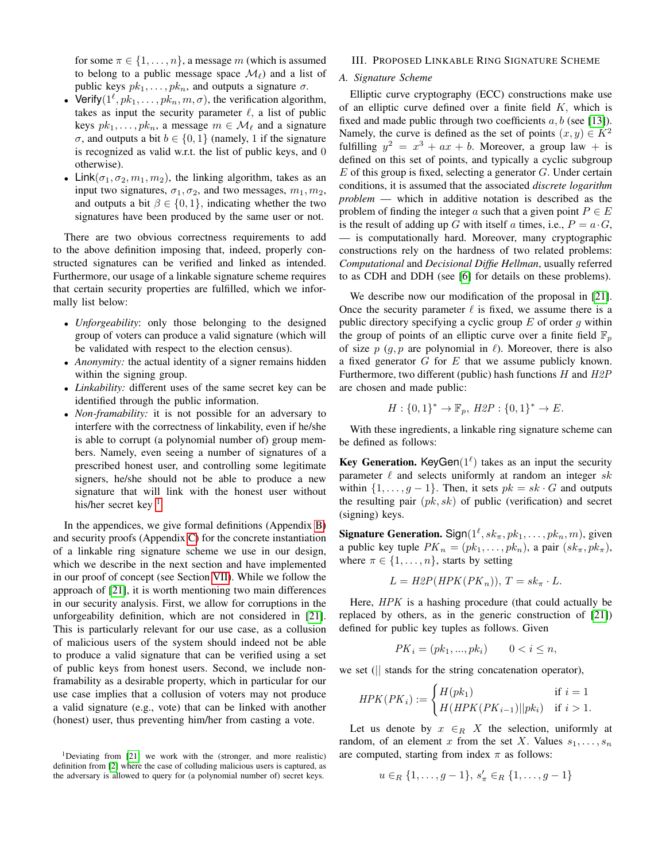for some  $\pi \in \{1, \ldots, n\}$ , a message m (which is assumed to belong to a public message space  $\mathcal{M}_{\ell}$ ) and a list of public keys  $pk_1, \ldots, pk_n$ , and outputs a signature  $\sigma$ .

- Verify $(1^{\ell}, p k_1, \ldots, p k_n, m, \sigma)$ , the verification algorithm, takes as input the security parameter  $\ell$ , a list of public keys  $pk_1, \ldots, pk_n$ , a message  $m \in \mathcal{M}_\ell$  and a signature σ, and outputs a bit  $b \in \{0, 1\}$  (namely, 1 if the signature is recognized as valid w.r.t. the list of public keys, and 0 otherwise).
- Link( $\sigma_1, \sigma_2, m_1, m_2$ ), the linking algorithm, takes as an input two signatures,  $\sigma_1, \sigma_2$ , and two messages,  $m_1, m_2$ , and outputs a bit  $\beta \in \{0, 1\}$ , indicating whether the two signatures have been produced by the same user or not.

There are two obvious correctness requirements to add to the above definition imposing that, indeed, properly constructed signatures can be verified and linked as intended. Furthermore, our usage of a linkable signature scheme requires that certain security properties are fulfilled, which we informally list below:

- *Unforgeability*: only those belonging to the designed group of voters can produce a valid signature (which will be validated with respect to the election census).
- *Anonymity:* the actual identity of a signer remains hidden within the signing group.
- *Linkability:* different uses of the same secret key can be identified through the public information.
- *Non-framability:* it is not possible for an adversary to interfere with the correctness of linkability, even if he/she is able to corrupt (a polynomial number of) group members. Namely, even seeing a number of signatures of a prescribed honest user, and controlling some legitimate signers, he/she should not be able to produce a new signature that will link with the honest user without his/her secret key  $<sup>1</sup>$  $<sup>1</sup>$  $<sup>1</sup>$ </sup>

In the appendices, we give formal definitions (Appendix [B\)](#page-10-11) and security proofs (Appendix [C\)](#page-13-0) for the concrete instantiation of a linkable ring signature scheme we use in our design, which we describe in the next section and have implemented in our proof of concept (see Section [VII\)](#page-8-0). While we follow the approach of [\[21\]](#page-10-6), it is worth mentioning two main differences in our security analysis. First, we allow for corruptions in the unforgeability definition, which are not considered in [\[21\]](#page-10-6). This is particularly relevant for our use case, as a collusion of malicious users of the system should indeed not be able to produce a valid signature that can be verified using a set of public keys from honest users. Second, we include nonframability as a desirable property, which in particular for our use case implies that a collusion of voters may not produce a valid signature (e.g., vote) that can be linked with another (honest) user, thus preventing him/her from casting a vote.

# III. PROPOSED LINKABLE RING SIGNATURE SCHEME

# <span id="page-2-0"></span>*A. Signature Scheme*

Elliptic curve cryptography (ECC) constructions make use of an elliptic curve defined over a finite field  $K$ , which is fixed and made public through two coefficients  $a, b$  (see [\[13\]](#page-10-12)). Namely, the curve is defined as the set of points  $(x, y) \in K^2$ fulfilling  $y^2 = x^3 + ax + b$ . Moreover, a group law + is defined on this set of points, and typically a cyclic subgroup  $E$  of this group is fixed, selecting a generator  $G$ . Under certain conditions, it is assumed that the associated *discrete logarithm problem* — which in additive notation is described as the problem of finding the integer a such that a given point  $P \in E$ is the result of adding up G with itself a times, i.e.,  $P = a \cdot G$ , — is computationally hard. Moreover, many cryptographic constructions rely on the hardness of two related problems: *Computational* and *Decisional Diffie Hellman*, usually referred to as CDH and DDH (see [\[6\]](#page-10-13) for details on these problems).

We describe now our modification of the proposal in [\[21\]](#page-10-6). Once the security parameter  $\ell$  is fixed, we assume there is a public directory specifying a cyclic group  $E$  of order  $g$  within the group of points of an elliptic curve over a finite field  $\mathbb{F}_p$ of size  $p$  (g,  $p$  are polynomial in  $\ell$ ). Moreover, there is also a fixed generator  $G$  for  $E$  that we assume publicly known. Furthermore, two different (public) hash functions  $H$  and  $H2P$ are chosen and made public:

$$
H: \{0,1\}^* \to \mathbb{F}_p, H2P: \{0,1\}^* \to E.
$$

With these ingredients, a linkable ring signature scheme can be defined as follows:

**Key Generation.** KeyGen $(1^{\ell})$  takes as an input the security parameter  $\ell$  and selects uniformly at random an integer sk within  $\{1, \ldots, g-1\}$ . Then, it sets  $pk = sk \cdot G$  and outputs the resulting pair  $(pk, sk)$  of public (verification) and secret (signing) keys.

**Signature Generation.** Sign $(1^{\ell}, sk_{\pi}, pk_1, \ldots, pk_n, m)$ , given a public key tuple  $PK_n = (pk_1, \ldots, pk_n)$ , a pair  $(sk_\pi, pk_\pi)$ , where  $\pi \in \{1, \ldots, n\}$ , starts by setting

$$
L = H2P(HPK(PK_n)), T = sk_{\pi} \cdot L.
$$

Here, HPK is a hashing procedure (that could actually be replaced by others, as in the generic construction of [\[21\]](#page-10-6)) defined for public key tuples as follows. Given

$$
PK_i = (pk_1, ..., pk_i) \qquad 0 < i \le n,
$$

we set (|| stands for the string concatenation operator),

$$
HPK(PK_i) := \begin{cases} H(pk_1) & \text{if } i = 1\\ H(HPK(PK_{i-1})||pk_i) & \text{if } i > 1. \end{cases}
$$

Let us denote by  $x \in_R X$  the selection, uniformly at random, of an element x from the set X. Values  $s_1, \ldots, s_n$ are computed, starting from index  $\pi$  as follows:

$$
u \in_R \{1, \ldots, g-1\}, s'_\pi \in_R \{1, \ldots, g-1\}
$$

<span id="page-2-1"></span><sup>&</sup>lt;sup>1</sup>Deviating from [\[21\]](#page-10-6) we work with the (stronger, and more realistic) definition from [\[2\]](#page-9-3) where the case of colluding malicious users is captured, as the adversary is allowed to query for (a polynomial number of) secret keys.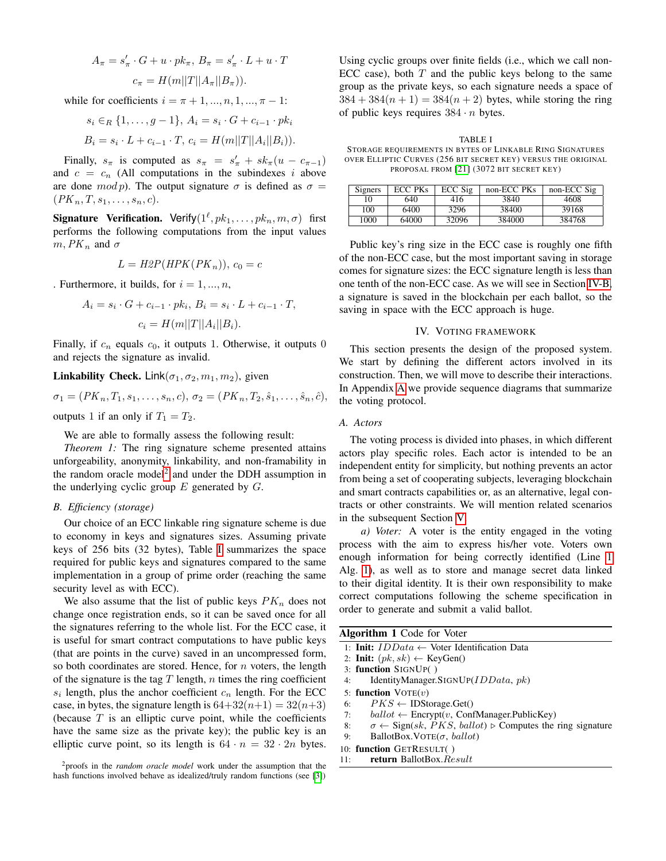$$
A_{\pi} = s'_{\pi} \cdot G + u \cdot pk_{\pi}, B_{\pi} = s'_{\pi} \cdot L + u \cdot T
$$

$$
c_{\pi} = H(m||T||A_{\pi}||B_{\pi})).
$$

while for coefficients  $i = \pi + 1, ..., n, 1, ..., \pi - 1$ :

$$
s_i \in_R \{1, \ldots, g-1\}, A_i = s_i \cdot G + c_{i-1} \cdot pk_i
$$
  

$$
B_i = s_i \cdot L + c_{i-1} \cdot T, c_i = H(m||T||A_i||B_i)).
$$

Finally,  $s_{\pi}$  is computed as  $s_{\pi} = s'_{\pi} + sk_{\pi}(u - c_{\pi-1})$ and  $c = c_n$  (All computations in the subindexes i above are done  $mod p$ . The output signature  $\sigma$  is defined as  $\sigma =$  $(PK_n, T, s_1, \ldots, s_n, c).$ 

**Signature Verification.** Verify $(1^{\ell},pk_1,\ldots,pk_n, m, \sigma)$  first performs the following computations from the input values  $m, PK_n$  and  $\sigma$ 

$$
L = H2P(HPK(PK_n)), c_0 = c
$$

. Furthermore, it builds, for  $i = 1, ..., n$ ,

$$
A_i = s_i \cdot G + c_{i-1} \cdot pk_i, B_i = s_i \cdot L + c_{i-1} \cdot T,
$$
  

$$
c_i = H(m||T||A_i||B_i).
$$

Finally, if  $c_n$  equals  $c_0$ , it outputs 1. Otherwise, it outputs 0 and rejects the signature as invalid.

Linkability Check. Link $(\sigma_1, \sigma_2, m_1, m_2)$ , given

$$
\sigma_1 = (PK_n, T_1, s_1, \dots, s_n, c), \sigma_2 = (PK_n, T_2, \hat{s}_1, \dots, \hat{s}_n, \hat{c}),
$$

outputs 1 if an only if  $T_1 = T_2$ .

We are able to formally assess the following result:

*Theorem 1:* The ring signature scheme presented attains unforgeability, anonymity, linkability, and non-framability in the random oracle model<sup>[2](#page-3-2)</sup> and under the DDH assumption in the underlying cyclic group  $E$  generated by  $G$ .

## <span id="page-3-0"></span>*B. Efficiency (storage)*

Our choice of an ECC linkable ring signature scheme is due to economy in keys and signatures sizes. Assuming private keys of 256 bits (32 bytes), Table [I](#page-3-3) summarizes the space required for public keys and signatures compared to the same implementation in a group of prime order (reaching the same security level as with ECC).

We also assume that the list of public keys  $PK_n$  does not change once registration ends, so it can be saved once for all the signatures referring to the whole list. For the ECC case, it is useful for smart contract computations to have public keys (that are points in the curve) saved in an uncompressed form, so both coordinates are stored. Hence, for  $n$  voters, the length of the signature is the tag  $T$  length,  $n$  times the ring coefficient  $s_i$  length, plus the anchor coefficient  $c_n$  length. For the ECC case, in bytes, the signature length is  $64+32(n+1) = 32(n+3)$ (because  $T$  is an elliptic curve point, while the coefficients have the same size as the private key); the public key is an elliptic curve point, so its length is  $64 \cdot n = 32 \cdot 2n$  bytes.

<span id="page-3-2"></span><sup>2</sup>proofs in the *random oracle model* work under the assumption that the hash functions involved behave as idealized/truly random functions (see [\[3\]](#page-9-4))

Using cyclic groups over finite fields (i.e., which we call non-ECC case), both  $T$  and the public keys belong to the same group as the private keys, so each signature needs a space of  $384 + 384(n + 1) = 384(n + 2)$  bytes, while storing the ring of public keys requires  $384 \cdot n$  bytes.

<span id="page-3-3"></span>TABLE I STORAGE REQUIREMENTS IN BYTES OF LINKABLE RING SIGNATURES OVER ELLIPTIC CURVES (256 BIT SECRET KEY) VERSUS THE ORIGINAL PROPOSAL FROM [\[21\]](#page-10-6) (3072 BIT SECRET KEY)

| Signers | ECC PKs | ECC Sig | non-ECC PKs | non-ECC Sig |
|---------|---------|---------|-------------|-------------|
| 10      | 640     | 416     | 3840        | 4608        |
| 100     | 6400    | 3296    | 38400       | 39168       |
| 1000    | 64000   | 32096   | 384000      | 384768      |

Public key's ring size in the ECC case is roughly one fifth of the non-ECC case, but the most important saving in storage comes for signature sizes: the ECC signature length is less than one tenth of the non-ECC case. As we will see in Section [IV-B,](#page-4-0) a signature is saved in the blockchain per each ballot, so the saving in space with the ECC approach is huge.

## IV. VOTING FRAMEWORK

<span id="page-3-1"></span>This section presents the design of the proposed system. We start by defining the different actors involved in its construction. Then, we will move to describe their interactions. In Appendix [A](#page-10-14) we provide sequence diagrams that summarize the voting protocol.

# *A. Actors*

The voting process is divided into phases, in which different actors play specific roles. Each actor is intended to be an independent entity for simplicity, but nothing prevents an actor from being a set of cooperating subjects, leveraging blockchain and smart contracts capabilities or, as an alternative, legal contracts or other constraints. We will mention related scenarios in the subsequent Section [V.](#page-5-0)

*a) Voter:* A voter is the entity engaged in the voting process with the aim to express his/her vote. Voters own enough information for being correctly identified (Line [1](#page-3-4) Alg. [1\)](#page-3-4), as well as to store and manage secret data linked to their digital identity. It is their own responsibility to make correct computations following the scheme specification in order to generate and submit a valid ballot.

<span id="page-3-4"></span>

| Algorithm 1 Code for Voter |  |  |  |
|----------------------------|--|--|--|
|                            |  |  |  |

- 1: Init:  $IDData \leftarrow$  Voter Identification Data
- 2: Init:  $(pk, sk) \leftarrow \text{KeyGen}()$
- 3: function SIGNUP( )
- 4: IdentityManager.SIGNUP(IDData, pk)

```
5: function VOTE(v)
```
- 6:  $PKS \leftarrow \text{IDStorage.Get}()$
- 7:  $ballot \leftarrow \text{Encryption}$ , ConfManager.PublicKey)
- 8:  $\sigma \leftarrow$  Sign(sk, *PKS*, ballot)  $\triangleright$  Computes the ring signature
- 9: BallotBox.VOTE( $\sigma$ , ballot)
- 10: function GETRESULT( )
- 11: **return** BallotBox.Result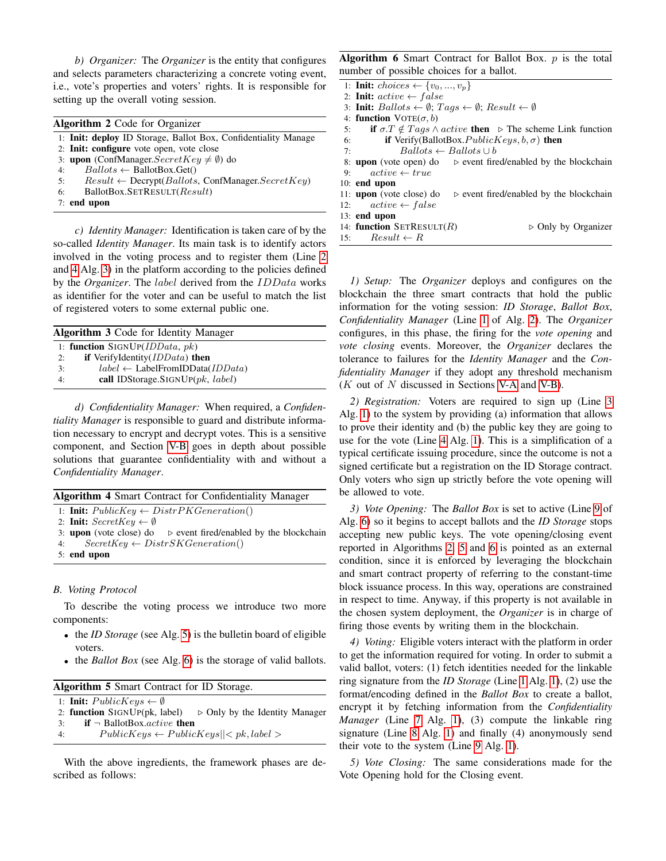*b) Organizer:* The *Organizer* is the entity that configures and selects parameters characterizing a concrete voting event, i.e., vote's properties and voters' rights. It is responsible for setting up the overall voting session.

<span id="page-4-4"></span>

| <b>Algorithm 2 Code for Organizer</b>                                           |  |  |  |  |  |  |
|---------------------------------------------------------------------------------|--|--|--|--|--|--|
| 1: <b>Init: deploy</b> ID Storage, Ballot Box, Confidentiality Manage           |  |  |  |  |  |  |
| 2: Init: configure vote open, vote close                                        |  |  |  |  |  |  |
| 3: upon (ConfManager. $SecretKey \neq \emptyset$ ) do                           |  |  |  |  |  |  |
| $Ballots \leftarrow$ BallotBox.Get()<br>4:                                      |  |  |  |  |  |  |
| $Result \leftarrow \text{Decrypt}(Ballots, \text{ConfManager}.SecretKey)$<br>5: |  |  |  |  |  |  |
| BallotBox.SETRESULT(Result)<br>6:                                               |  |  |  |  |  |  |
| $7:$ end upon                                                                   |  |  |  |  |  |  |
|                                                                                 |  |  |  |  |  |  |

*c) Identity Manager:* Identification is taken care of by the so-called *Identity Manager*. Its main task is to identify actors involved in the voting process and to register them (Line [2](#page-4-1) and [4](#page-4-1) Alg. [3\)](#page-4-1) in the platform according to the policies defined by the *Organizer*. The label derived from the IDData works as identifier for the voter and can be useful to match the list of registered voters to some external public one.

<span id="page-4-1"></span>

| <b>Algorithm 3 Code for Identity Manager</b> |                                                     |  |  |  |  |  |
|----------------------------------------------|-----------------------------------------------------|--|--|--|--|--|
|                                              | 1: function SIGNUP( $IDData, pk$ )                  |  |  |  |  |  |
| 2:                                           | if VerifyIdentity $(IDData)$ then                   |  |  |  |  |  |
| 3:                                           | $label \leftarrow$ LabelFromIDData( <i>IDData</i> ) |  |  |  |  |  |
| 4:                                           | call IDStorage.SIGNUP $(pk, label)$                 |  |  |  |  |  |

*d) Confidentiality Manager:* When required, a *Confidentiality Manager* is responsible to guard and distribute information necessary to encrypt and decrypt votes. This is a sensitive component, and Section [V-B](#page-5-1) goes in depth about possible solutions that guarantee confidentiality with and without a *Confidentiality Manager*.

<span id="page-4-5"></span>

| <b>Algorithm 4 Smart Contract for Confidentiality Manager</b> |                                                                                       |  |  |  |  |  |
|---------------------------------------------------------------|---------------------------------------------------------------------------------------|--|--|--|--|--|
|                                                               | 1: <b>Init:</b> $PublicKey \leftarrow DistrictPKGeneration()$                         |  |  |  |  |  |
|                                                               | 2: Init: $SecretKey \leftarrow \emptyset$                                             |  |  |  |  |  |
|                                                               | 3: <b>upon</b> (vote close) do $\triangleright$ event fired/enabled by the blockchain |  |  |  |  |  |
|                                                               | 4: $SecretKey \leftarrow DistrSKGeneration()$                                         |  |  |  |  |  |
|                                                               | $5:$ end upon                                                                         |  |  |  |  |  |

# <span id="page-4-0"></span>*B. Voting Protocol*

To describe the voting process we introduce two more components:

- the *ID Storage* (see Alg. [5\)](#page-4-2) is the bulletin board of eligible voters.
- the *Ballot Box* (see Alg. [6\)](#page-4-3) is the storage of valid ballots.

<span id="page-4-2"></span>

| Algorithm 5 Smart Contract for ID Storage.        |  |  |  |  |  |  |  |  |
|---------------------------------------------------|--|--|--|--|--|--|--|--|
| 1: <b>Init:</b> $PublicKeys \leftarrow \emptyset$ |  |  |  |  |  |  |  |  |
|                                                   |  |  |  |  |  |  |  |  |

```
2: function SIGNUP(pk, label) \triangleright Only by the Identity Manager
3: if \neg BallotBox.active then
```
4:  $\qquad \qquad \text{PublicKeys} \leftarrow \text{PublicKeys} \left| \left| \left| \right| \right| \right. \left| \left| \right| \right. \left| \right. \left| \right. \left| \right. \left| \right. \left| \right. \left| \right. \left| \right. \left| \right. \left| \right. \left| \right. \left| \right. \left| \right. \left| \right. \left| \right. \left| \right. \left| \right. \left| \right. \left| \right. \left| \right. \left| \right. \left| \right. \left| \right. \left| \right. \left| \right. \left| \right. \left| \right. \left| \right. \left$ 

With the above ingredients, the framework phases are described as follows:

<span id="page-4-3"></span>Algorithm 6 Smart Contract for Ballot Box.  $p$  is the total number of possible choices for a ballot.

- 1: Init:  $choices \leftarrow \{v_0, ..., v_n\}$
- 2: Init:  $active \leftarrow false$
- 3: Init:  $Ballots \leftarrow \emptyset$ ;  $Tags \leftarrow \emptyset$ ;  $Result \leftarrow \emptyset$
- 4: function  $VOTE(\sigma, b)$
- 5: if  $σ.T \notin Tags \land active$  then  $\triangleright$  The scheme Link function
- 6: **if** Verify(BallotBox. *PublicKeys*,  $b, \sigma$ ) **then**
- 7:  $Ballots \leftarrow Ballots \cup b$
- 8: **upon** (vote open) do  $\triangleright$  event fired/enabled by the blockchain 9.  $active \leftarrow true$
- 10: end upon
- 11: **upon** (vote close) do  $\Rightarrow$  event fired/enabled by the blockchain 12:  $active \leftarrow false$
- 13: end upon

15:  $Result \leftarrow R$ 

14: **function** SETRESULT(R)  $\triangleright$  Only by Organizer

*1) Setup:* The *Organizer* deploys and configures on the blockchain the three smart contracts that hold the public information for the voting session: *ID Storage*, *Ballot Box*, *Confidentiality Manager* (Line [1](#page-4-4) of Alg. [2\)](#page-4-4). The *Organizer* configures, in this phase, the firing for the *vote opening* and *vote closing* events. Moreover, the *Organizer* declares the tolerance to failures for the *Identity Manager* and the *Confidentiality Manager* if they adopt any threshold mechanism  $(K$  out of N discussed in Sections [V-A](#page-5-2) and [V-B\)](#page-5-1).

*2) Registration:* Voters are required to sign up (Line [3](#page-3-4) Alg. [1\)](#page-3-4) to the system by providing (a) information that allows to prove their identity and (b) the public key they are going to use for the vote (Line [4](#page-3-4) Alg. [1\)](#page-3-4). This is a simplification of a typical certificate issuing procedure, since the outcome is not a signed certificate but a registration on the ID Storage contract. Only voters who sign up strictly before the vote opening will be allowed to vote.

*3) Vote Opening:* The *Ballot Box* is set to active (Line [9](#page-4-3) of Alg. [6\)](#page-4-3) so it begins to accept ballots and the *ID Storage* stops accepting new public keys. The vote opening/closing event reported in Algorithms [2,](#page-4-4) [5](#page-4-2) and [6](#page-4-3) is pointed as an external condition, since it is enforced by leveraging the blockchain and smart contract property of referring to the constant-time block issuance process. In this way, operations are constrained in respect to time. Anyway, if this property is not available in the chosen system deployment, the *Organizer* is in charge of firing those events by writing them in the blockchain.

*4) Voting:* Eligible voters interact with the platform in order to get the information required for voting. In order to submit a valid ballot, voters: (1) fetch identities needed for the linkable ring signature from the *ID Storage* (Line [1](#page-3-4) Alg. [1\)](#page-3-4), (2) use the format/encoding defined in the *Ballot Box* to create a ballot, encrypt it by fetching information from the *Confidentiality Manager* (Line [7](#page-3-4) Alg. [1\)](#page-3-4), (3) compute the linkable ring signature (Line [8](#page-3-4) Alg. [1\)](#page-3-4) and finally (4) anonymously send their vote to the system (Line [9](#page-3-4) Alg. [1\)](#page-3-4).

*5) Vote Closing:* The same considerations made for the Vote Opening hold for the Closing event.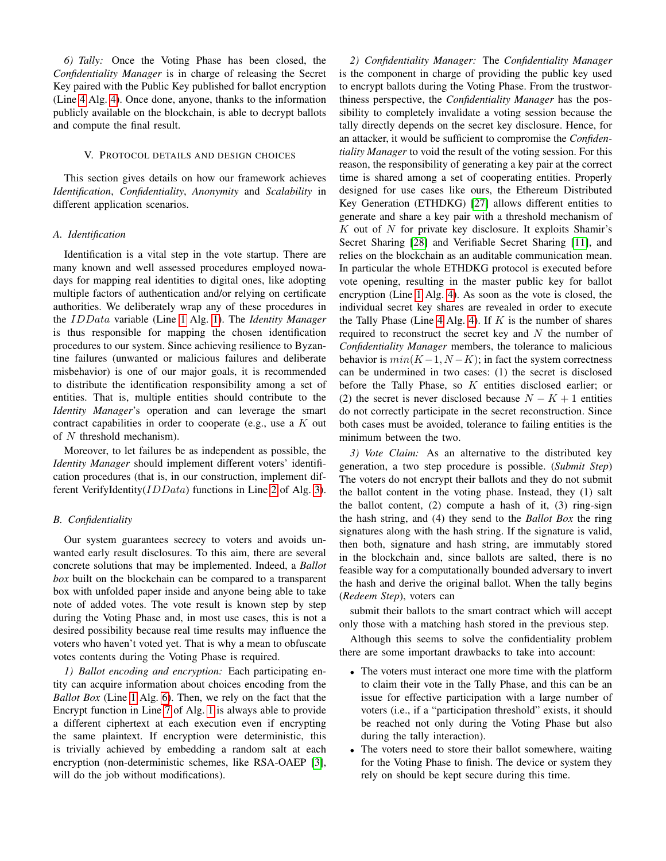*6) Tally:* Once the Voting Phase has been closed, the *Confidentiality Manager* is in charge of releasing the Secret Key paired with the Public Key published for ballot encryption (Line [4](#page-4-5) Alg. [4\)](#page-4-5). Once done, anyone, thanks to the information publicly available on the blockchain, is able to decrypt ballots and compute the final result.

# V. PROTOCOL DETAILS AND DESIGN CHOICES

<span id="page-5-0"></span>This section gives details on how our framework achieves *Identification*, *Confidentiality*, *Anonymity* and *Scalability* in different application scenarios.

#### <span id="page-5-2"></span>*A. Identification*

Identification is a vital step in the vote startup. There are many known and well assessed procedures employed nowadays for mapping real identities to digital ones, like adopting multiple factors of authentication and/or relying on certificate authorities. We deliberately wrap any of these procedures in the IDData variable (Line [1](#page-3-4) Alg. [1\)](#page-3-4). The *Identity Manager* is thus responsible for mapping the chosen identification procedures to our system. Since achieving resilience to Byzantine failures (unwanted or malicious failures and deliberate misbehavior) is one of our major goals, it is recommended to distribute the identification responsibility among a set of entities. That is, multiple entities should contribute to the *Identity Manager*'s operation and can leverage the smart contract capabilities in order to cooperate (e.g., use a  $K$  out of N threshold mechanism).

Moreover, to let failures be as independent as possible, the *Identity Manager* should implement different voters' identification procedures (that is, in our construction, implement different VerifyIdentity( $IDData$ ) functions in Line [2](#page-4-1) of Alg. [3\)](#page-4-1).

# <span id="page-5-1"></span>*B. Confidentiality*

Our system guarantees secrecy to voters and avoids unwanted early result disclosures. To this aim, there are several concrete solutions that may be implemented. Indeed, a *Ballot box* built on the blockchain can be compared to a transparent box with unfolded paper inside and anyone being able to take note of added votes. The vote result is known step by step during the Voting Phase and, in most use cases, this is not a desired possibility because real time results may influence the voters who haven't voted yet. That is why a mean to obfuscate votes contents during the Voting Phase is required.

*1) Ballot encoding and encryption:* Each participating entity can acquire information about choices encoding from the *Ballot Box* (Line [1](#page-4-3) Alg. [6\)](#page-4-3). Then, we rely on the fact that the Encrypt function in Line [7](#page-3-4) of Alg. [1](#page-3-4) is always able to provide a different ciphertext at each execution even if encrypting the same plaintext. If encryption were deterministic, this is trivially achieved by embedding a random salt at each encryption (non-deterministic schemes, like RSA-OAEP [\[3\]](#page-9-4), will do the job without modifications).

<span id="page-5-4"></span>*2) Confidentiality Manager:* The *Confidentiality Manager* is the component in charge of providing the public key used to encrypt ballots during the Voting Phase. From the trustworthiness perspective, the *Confidentiality Manager* has the possibility to completely invalidate a voting session because the tally directly depends on the secret key disclosure. Hence, for an attacker, it would be sufficient to compromise the *Confidentiality Manager* to void the result of the voting session. For this reason, the responsibility of generating a key pair at the correct time is shared among a set of cooperating entities. Properly designed for use cases like ours, the Ethereum Distributed Key Generation (ETHDKG) [\[27\]](#page-10-15) allows different entities to generate and share a key pair with a threshold mechanism of  $K$  out of  $N$  for private key disclosure. It exploits Shamir's Secret Sharing [\[28\]](#page-10-16) and Verifiable Secret Sharing [\[11\]](#page-10-17), and relies on the blockchain as an auditable communication mean. In particular the whole ETHDKG protocol is executed before vote opening, resulting in the master public key for ballot encryption (Line [1](#page-4-5) Alg. [4\)](#page-4-5). As soon as the vote is closed, the individual secret key shares are revealed in order to execute the Tally Phase (Line [4](#page-4-5) Alg. [4\)](#page-4-5). If  $K$  is the number of shares required to reconstruct the secret key and  $N$  the number of *Confidentiality Manager* members, the tolerance to malicious behavior is  $min(K-1, N-K)$ ; in fact the system correctness can be undermined in two cases: (1) the secret is disclosed before the Tally Phase, so K entities disclosed earlier; or (2) the secret is never disclosed because  $N - K + 1$  entities do not correctly participate in the secret reconstruction. Since both cases must be avoided, tolerance to failing entities is the minimum between the two.

<span id="page-5-3"></span>*3) Vote Claim:* As an alternative to the distributed key generation, a two step procedure is possible. (*Submit Step*) The voters do not encrypt their ballots and they do not submit the ballot content in the voting phase. Instead, they (1) salt the ballot content,  $(2)$  compute a hash of it,  $(3)$  ring-sign the hash string, and (4) they send to the *Ballot Box* the ring signatures along with the hash string. If the signature is valid, then both, signature and hash string, are immutably stored in the blockchain and, since ballots are salted, there is no feasible way for a computationally bounded adversary to invert the hash and derive the original ballot. When the tally begins (*Redeem Step*), voters can

submit their ballots to the smart contract which will accept only those with a matching hash stored in the previous step.

Although this seems to solve the confidentiality problem there are some important drawbacks to take into account:

- The voters must interact one more time with the platform to claim their vote in the Tally Phase, and this can be an issue for effective participation with a large number of voters (i.e., if a "participation threshold" exists, it should be reached not only during the Voting Phase but also during the tally interaction).
- The voters need to store their ballot somewhere, waiting for the Voting Phase to finish. The device or system they rely on should be kept secure during this time.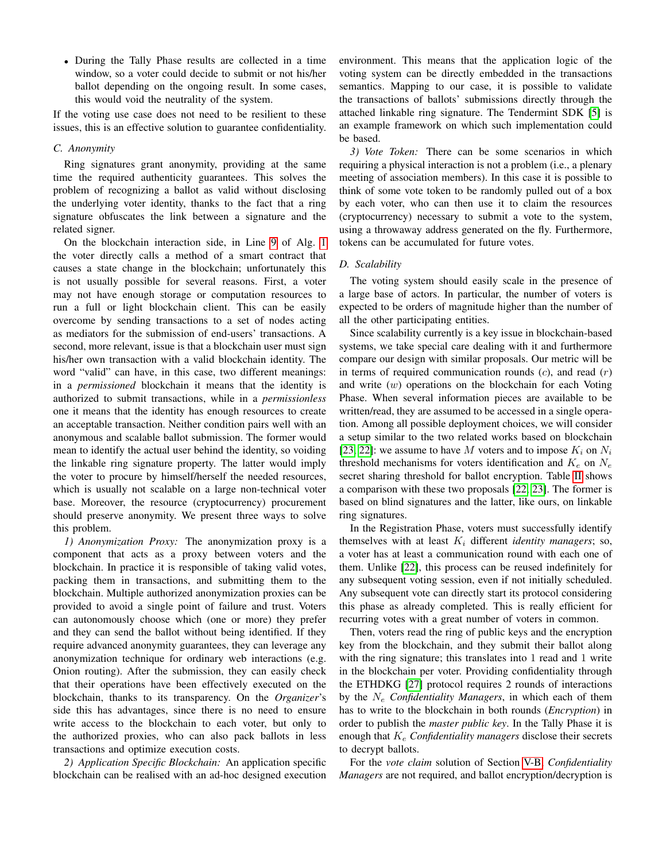• During the Tally Phase results are collected in a time window, so a voter could decide to submit or not his/her ballot depending on the ongoing result. In some cases, this would void the neutrality of the system.

If the voting use case does not need to be resilient to these issues, this is an effective solution to guarantee confidentiality.

# <span id="page-6-0"></span>*C. Anonymity*

Ring signatures grant anonymity, providing at the same time the required authenticity guarantees. This solves the problem of recognizing a ballot as valid without disclosing the underlying voter identity, thanks to the fact that a ring signature obfuscates the link between a signature and the related signer.

On the blockchain interaction side, in Line [9](#page-3-4) of Alg. [1](#page-3-4) the voter directly calls a method of a smart contract that causes a state change in the blockchain; unfortunately this is not usually possible for several reasons. First, a voter may not have enough storage or computation resources to run a full or light blockchain client. This can be easily overcome by sending transactions to a set of nodes acting as mediators for the submission of end-users' transactions. A second, more relevant, issue is that a blockchain user must sign his/her own transaction with a valid blockchain identity. The word "valid" can have, in this case, two different meanings: in a *permissioned* blockchain it means that the identity is authorized to submit transactions, while in a *permissionless* one it means that the identity has enough resources to create an acceptable transaction. Neither condition pairs well with an anonymous and scalable ballot submission. The former would mean to identify the actual user behind the identity, so voiding the linkable ring signature property. The latter would imply the voter to procure by himself/herself the needed resources, which is usually not scalable on a large non-technical voter base. Moreover, the resource (cryptocurrency) procurement should preserve anonymity. We present three ways to solve this problem.

<span id="page-6-1"></span>*1) Anonymization Proxy:* The anonymization proxy is a component that acts as a proxy between voters and the blockchain. In practice it is responsible of taking valid votes, packing them in transactions, and submitting them to the blockchain. Multiple authorized anonymization proxies can be provided to avoid a single point of failure and trust. Voters can autonomously choose which (one or more) they prefer and they can send the ballot without being identified. If they require advanced anonymity guarantees, they can leverage any anonymization technique for ordinary web interactions (e.g. Onion routing). After the submission, they can easily check that their operations have been effectively executed on the blockchain, thanks to its transparency. On the *Organizer*'s side this has advantages, since there is no need to ensure write access to the blockchain to each voter, but only to the authorized proxies, who can also pack ballots in less transactions and optimize execution costs.

*2) Application Specific Blockchain:* An application specific blockchain can be realised with an ad-hoc designed execution environment. This means that the application logic of the voting system can be directly embedded in the transactions semantics. Mapping to our case, it is possible to validate the transactions of ballots' submissions directly through the attached linkable ring signature. The Tendermint SDK [\[5\]](#page-9-5) is an example framework on which such implementation could be based.

<span id="page-6-2"></span>*3) Vote Token:* There can be some scenarios in which requiring a physical interaction is not a problem (i.e., a plenary meeting of association members). In this case it is possible to think of some vote token to be randomly pulled out of a box by each voter, who can then use it to claim the resources (cryptocurrency) necessary to submit a vote to the system, using a throwaway address generated on the fly. Furthermore, tokens can be accumulated for future votes.

# *D. Scalability*

The voting system should easily scale in the presence of a large base of actors. In particular, the number of voters is expected to be orders of magnitude higher than the number of all the other participating entities.

Since scalability currently is a key issue in blockchain-based systems, we take special care dealing with it and furthermore compare our design with similar proposals. Our metric will be in terms of required communication rounds  $(c)$ , and read  $(r)$ and write (w) operations on the blockchain for each Voting Phase. When several information pieces are available to be written/read, they are assumed to be accessed in a single operation. Among all possible deployment choices, we will consider a setup similar to the two related works based on blockchain [\[23,](#page-10-5) [22\]](#page-10-4): we assume to have M voters and to impose  $K_i$  on  $N_i$ threshold mechanisms for voters identification and  $K_e$  on  $N_e$ secret sharing threshold for ballot encryption. Table [II](#page-7-1) shows a comparison with these two proposals [\[22,](#page-10-4) [23\]](#page-10-5). The former is based on blind signatures and the latter, like ours, on linkable ring signatures.

In the Registration Phase, voters must successfully identify themselves with at least  $K_i$  different *identity managers*; so, a voter has at least a communication round with each one of them. Unlike [\[22\]](#page-10-4), this process can be reused indefinitely for any subsequent voting session, even if not initially scheduled. Any subsequent vote can directly start its protocol considering this phase as already completed. This is really efficient for recurring votes with a great number of voters in common.

Then, voters read the ring of public keys and the encryption key from the blockchain, and they submit their ballot along with the ring signature; this translates into 1 read and 1 write in the blockchain per voter. Providing confidentiality through the ETHDKG [\[27\]](#page-10-15) protocol requires 2 rounds of interactions by the N<sup>e</sup> *Confidentiality Managers*, in which each of them has to write to the blockchain in both rounds (*Encryption*) in order to publish the *master public key*. In the Tally Phase it is enough that  $K_e$  *Confidentiality managers* disclose their secrets to decrypt ballots.

For the *vote claim* solution of Section [V-B,](#page-5-1) *Confidentiality Managers* are not required, and ballot encryption/decryption is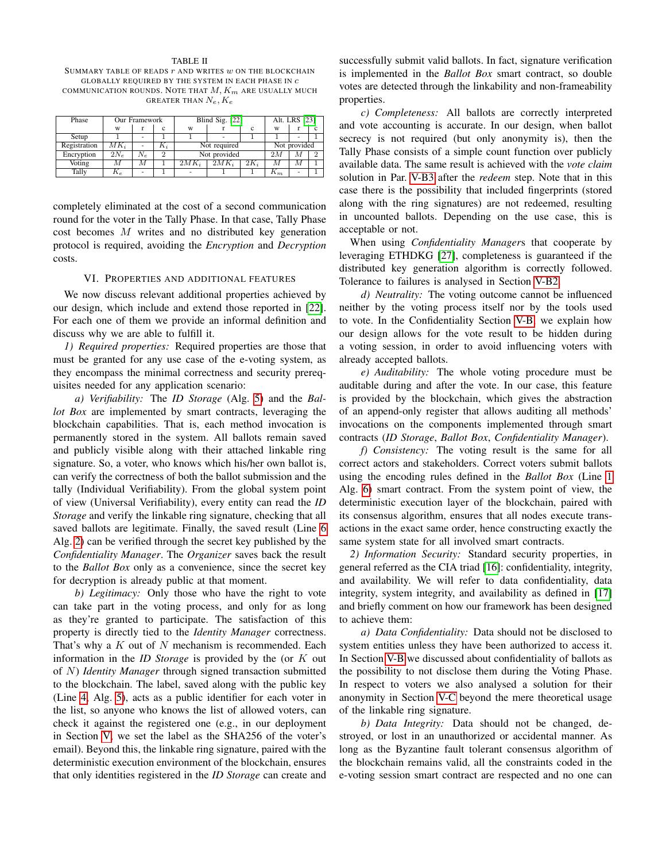#### TABLE II

<span id="page-7-1"></span>SUMMARY TABLE OF READS  $r$  and writes  $w$  on the BLOCKCHAIN GLOBALLY REQUIRED BY THE SYSTEM IN EACH PHASE IN c COMMUNICATION ROUNDS. NOTE THAT  $M$ ,  $K_m$  are usually much GREATER THAN  $N_e$ ,  $K_e$ 

| Phase        | Our Framework |       |                | Blind Sig. [22] |         |        | Alt. LRS [23] |              |          |  |
|--------------|---------------|-------|----------------|-----------------|---------|--------|---------------|--------------|----------|--|
|              | W             |       | c              | W               |         |        | W             |              |          |  |
| Setup        |               | ٠     |                |                 |         |        |               | ٠            |          |  |
| Registration | $MK_i$        | ٠     | $K_i$          | Not required    |         |        |               | Not provided |          |  |
| Encryption   | $2N_e$        | $N_e$ | $\overline{2}$ | Not provided    |         |        | 2M            | М            | $\Omega$ |  |
| Voting       | М             | М     |                | $2MK_i$         | $2MK_i$ | $2K_i$ | М             | М            |          |  |
| Tally        | $n_e$         | ۰     |                | -               |         |        | $n_m$         |              |          |  |

completely eliminated at the cost of a second communication round for the voter in the Tally Phase. In that case, Tally Phase cost becomes M writes and no distributed key generation protocol is required, avoiding the *Encryption* and *Decryption* costs.

#### VI. PROPERTIES AND ADDITIONAL FEATURES

<span id="page-7-0"></span>We now discuss relevant additional properties achieved by our design, which include and extend those reported in [\[22\]](#page-10-4). For each one of them we provide an informal definition and discuss why we are able to fulfill it.

*1) Required properties:* Required properties are those that must be granted for any use case of the e-voting system, as they encompass the minimal correctness and security prerequisites needed for any application scenario:

*a) Verifiability:* The *ID Storage* (Alg. [5\)](#page-4-2) and the *Ballot Box* are implemented by smart contracts, leveraging the blockchain capabilities. That is, each method invocation is permanently stored in the system. All ballots remain saved and publicly visible along with their attached linkable ring signature. So, a voter, who knows which his/her own ballot is, can verify the correctness of both the ballot submission and the tally (Individual Verifiability). From the global system point of view (Universal Verifiability), every entity can read the *ID Storage* and verify the linkable ring signature, checking that all saved ballots are legitimate. Finally, the saved result (Line [6](#page-4-4) Alg. [2\)](#page-4-4) can be verified through the secret key published by the *Confidentiality Manager*. The *Organizer* saves back the result to the *Ballot Box* only as a convenience, since the secret key for decryption is already public at that moment.

*b) Legitimacy:* Only those who have the right to vote can take part in the voting process, and only for as long as they're granted to participate. The satisfaction of this property is directly tied to the *Identity Manager* correctness. That's why a  $K$  out of  $N$  mechanism is recommended. Each information in the *ID Storage* is provided by the (or K out of N) *Identity Manager* through signed transaction submitted to the blockchain. The label, saved along with the public key (Line [4,](#page-4-2) Alg. [5\)](#page-4-2), acts as a public identifier for each voter in the list, so anyone who knows the list of allowed voters, can check it against the registered one (e.g., in our deployment in Section [V,](#page-5-0) we set the label as the SHA256 of the voter's email). Beyond this, the linkable ring signature, paired with the deterministic execution environment of the blockchain, ensures that only identities registered in the *ID Storage* can create and

successfully submit valid ballots. In fact, signature verification is implemented in the *Ballot Box* smart contract, so double votes are detected through the linkability and non-frameability properties.

*c) Completeness:* All ballots are correctly interpreted and vote accounting is accurate. In our design, when ballot secrecy is not required (but only anonymity is), then the Tally Phase consists of a simple count function over publicly available data. The same result is achieved with the *vote claim* solution in Par. [V-B3](#page-5-3) after the *redeem* step. Note that in this case there is the possibility that included fingerprints (stored along with the ring signatures) are not redeemed, resulting in uncounted ballots. Depending on the use case, this is acceptable or not.

When using *Confidentiality Manager*s that cooperate by leveraging ETHDKG [\[27\]](#page-10-15), completeness is guaranteed if the distributed key generation algorithm is correctly followed. Tolerance to failures is analysed in Section [V-B2.](#page-5-4)

*d) Neutrality:* The voting outcome cannot be influenced neither by the voting process itself nor by the tools used to vote. In the Confidentiality Section [V-B,](#page-5-1) we explain how our design allows for the vote result to be hidden during a voting session, in order to avoid influencing voters with already accepted ballots.

*e) Auditability:* The whole voting procedure must be auditable during and after the vote. In our case, this feature is provided by the blockchain, which gives the abstraction of an append-only register that allows auditing all methods' invocations on the components implemented through smart contracts (*ID Storage*, *Ballot Box*, *Confidentiality Manager*).

*f) Consistency:* The voting result is the same for all correct actors and stakeholders. Correct voters submit ballots using the encoding rules defined in the *Ballot Box* (Line [1](#page-4-3) Alg. [6\)](#page-4-3) smart contract. From the system point of view, the deterministic execution layer of the blockchain, paired with its consensus algorithm, ensures that all nodes execute transactions in the exact same order, hence constructing exactly the same system state for all involved smart contracts.

*2) Information Security:* Standard security properties, in general referred as the CIA triad [\[16\]](#page-10-18): confidentiality, integrity, and availability. We will refer to data confidentiality, data integrity, system integrity, and availability as defined in [\[17\]](#page-10-19) and briefly comment on how our framework has been designed to achieve them:

*a) Data Confidentiality:* Data should not be disclosed to system entities unless they have been authorized to access it. In Section [V-B](#page-5-1) we discussed about confidentiality of ballots as the possibility to not disclose them during the Voting Phase. In respect to voters we also analysed a solution for their anonymity in Section [V-C](#page-6-0) beyond the mere theoretical usage of the linkable ring signature.

*b) Data Integrity:* Data should not be changed, destroyed, or lost in an unauthorized or accidental manner. As long as the Byzantine fault tolerant consensus algorithm of the blockchain remains valid, all the constraints coded in the e-voting session smart contract are respected and no one can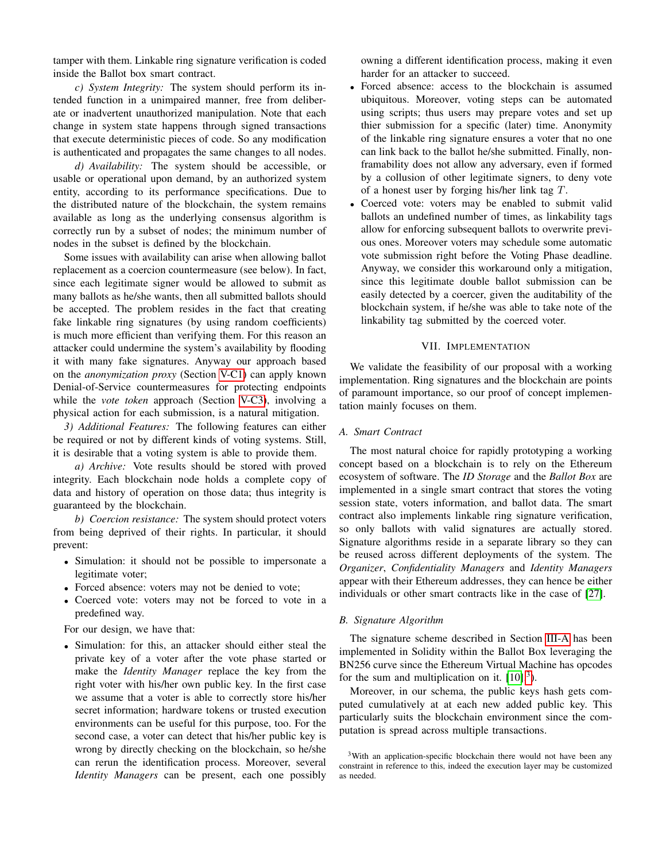tamper with them. Linkable ring signature verification is coded inside the Ballot box smart contract.

*c) System Integrity:* The system should perform its intended function in a unimpaired manner, free from deliberate or inadvertent unauthorized manipulation. Note that each change in system state happens through signed transactions that execute deterministic pieces of code. So any modification is authenticated and propagates the same changes to all nodes.

*d) Availability:* The system should be accessible, or usable or operational upon demand, by an authorized system entity, according to its performance specifications. Due to the distributed nature of the blockchain, the system remains available as long as the underlying consensus algorithm is correctly run by a subset of nodes; the minimum number of nodes in the subset is defined by the blockchain.

Some issues with availability can arise when allowing ballot replacement as a coercion countermeasure (see below). In fact, since each legitimate signer would be allowed to submit as many ballots as he/she wants, then all submitted ballots should be accepted. The problem resides in the fact that creating fake linkable ring signatures (by using random coefficients) is much more efficient than verifying them. For this reason an attacker could undermine the system's availability by flooding it with many fake signatures. Anyway our approach based on the *anonymization proxy* (Section [V-C1\)](#page-6-1) can apply known Denial-of-Service countermeasures for protecting endpoints while the *vote token* approach (Section [V-C3\)](#page-6-2), involving a physical action for each submission, is a natural mitigation.

*3) Additional Features:* The following features can either be required or not by different kinds of voting systems. Still, it is desirable that a voting system is able to provide them.

*a) Archive:* Vote results should be stored with proved integrity. Each blockchain node holds a complete copy of data and history of operation on those data; thus integrity is guaranteed by the blockchain.

*b) Coercion resistance:* The system should protect voters from being deprived of their rights. In particular, it should prevent:

- Simulation: it should not be possible to impersonate a legitimate voter;
- Forced absence: voters may not be denied to vote;
- Coerced vote: voters may not be forced to vote in a predefined way.

For our design, we have that:

• Simulation: for this, an attacker should either steal the private key of a voter after the vote phase started or make the *Identity Manager* replace the key from the right voter with his/her own public key. In the first case we assume that a voter is able to correctly store his/her secret information; hardware tokens or trusted execution environments can be useful for this purpose, too. For the second case, a voter can detect that his/her public key is wrong by directly checking on the blockchain, so he/she can rerun the identification process. Moreover, several *Identity Managers* can be present, each one possibly

owning a different identification process, making it even harder for an attacker to succeed.

- Forced absence: access to the blockchain is assumed ubiquitous. Moreover, voting steps can be automated using scripts; thus users may prepare votes and set up thier submission for a specific (later) time. Anonymity of the linkable ring signature ensures a voter that no one can link back to the ballot he/she submitted. Finally, nonframability does not allow any adversary, even if formed by a collusion of other legitimate signers, to deny vote of a honest user by forging his/her link tag  $T$ .
- Coerced vote: voters may be enabled to submit valid ballots an undefined number of times, as linkability tags allow for enforcing subsequent ballots to overwrite previous ones. Moreover voters may schedule some automatic vote submission right before the Voting Phase deadline. Anyway, we consider this workaround only a mitigation, since this legitimate double ballot submission can be easily detected by a coercer, given the auditability of the blockchain system, if he/she was able to take note of the linkability tag submitted by the coerced voter.

## VII. IMPLEMENTATION

<span id="page-8-0"></span>We validate the feasibility of our proposal with a working implementation. Ring signatures and the blockchain are points of paramount importance, so our proof of concept implementation mainly focuses on them.

#### *A. Smart Contract*

The most natural choice for rapidly prototyping a working concept based on a blockchain is to rely on the Ethereum ecosystem of software. The *ID Storage* and the *Ballot Box* are implemented in a single smart contract that stores the voting session state, voters information, and ballot data. The smart contract also implements linkable ring signature verification, so only ballots with valid signatures are actually stored. Signature algorithms reside in a separate library so they can be reused across different deployments of the system. The *Organizer*, *Confidentiality Managers* and *Identity Managers* appear with their Ethereum addresses, they can hence be either individuals or other smart contracts like in the case of [\[27\]](#page-10-15).

### *B. Signature Algorithm*

The signature scheme described in Section [III-A](#page-2-0) has been implemented in Solidity within the Ballot Box leveraging the BN256 curve since the Ethereum Virtual Machine has opcodes for the sum and multiplication on it.  $[10].<sup>3</sup>$  $[10].<sup>3</sup>$  $[10].<sup>3</sup>$  $[10].<sup>3</sup>$ ).

Moreover, in our schema, the public keys hash gets computed cumulatively at at each new added public key. This particularly suits the blockchain environment since the computation is spread across multiple transactions.

<span id="page-8-1"></span><sup>&</sup>lt;sup>3</sup>With an application-specific blockchain there would not have been any constraint in reference to this, indeed the execution layer may be customized as needed.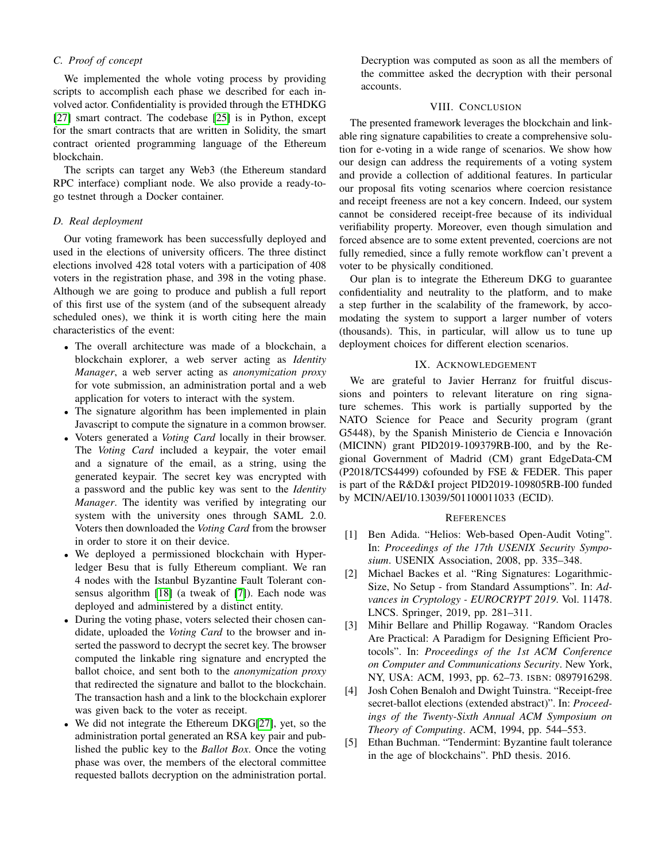# *C. Proof of concept*

We implemented the whole voting process by providing scripts to accomplish each phase we described for each involved actor. Confidentiality is provided through the ETHDKG [\[27\]](#page-10-15) smart contract. The codebase [\[25\]](#page-10-21) is in Python, except for the smart contracts that are written in Solidity, the smart contract oriented programming language of the Ethereum blockchain.

The scripts can target any Web3 (the Ethereum standard RPC interface) compliant node. We also provide a ready-togo testnet through a Docker container.

# *D. Real deployment*

Our voting framework has been successfully deployed and used in the elections of university officers. The three distinct elections involved 428 total voters with a participation of 408 voters in the registration phase, and 398 in the voting phase. Although we are going to produce and publish a full report of this first use of the system (and of the subsequent already scheduled ones), we think it is worth citing here the main characteristics of the event:

- The overall architecture was made of a blockchain, a blockchain explorer, a web server acting as *Identity Manager*, a web server acting as *anonymization proxy* for vote submission, an administration portal and a web application for voters to interact with the system.
- The signature algorithm has been implemented in plain Javascript to compute the signature in a common browser.
- Voters generated a *Voting Card* locally in their browser. The *Voting Card* included a keypair, the voter email and a signature of the email, as a string, using the generated keypair. The secret key was encrypted with a password and the public key was sent to the *Identity Manager*. The identity was verified by integrating our system with the university ones through SAML 2.0. Voters then downloaded the *Voting Card* from the browser in order to store it on their device.
- We deployed a permissioned blockchain with Hyperledger Besu that is fully Ethereum compliant. We ran 4 nodes with the Istanbul Byzantine Fault Tolerant consensus algorithm [\[18\]](#page-10-22) (a tweak of [\[7\]](#page-10-7)). Each node was deployed and administered by a distinct entity.
- During the voting phase, voters selected their chosen candidate, uploaded the *Voting Card* to the browser and inserted the password to decrypt the secret key. The browser computed the linkable ring signature and encrypted the ballot choice, and sent both to the *anonymization proxy* that redirected the signature and ballot to the blockchain. The transaction hash and a link to the blockchain explorer was given back to the voter as receipt.
- We did not integrate the Ethereum DKG[\[27\]](#page-10-15), yet, so the administration portal generated an RSA key pair and published the public key to the *Ballot Box*. Once the voting phase was over, the members of the electoral committee requested ballots decryption on the administration portal.

Decryption was computed as soon as all the members of the committee asked the decryption with their personal accounts.

# VIII. CONCLUSION

<span id="page-9-2"></span>The presented framework leverages the blockchain and linkable ring signature capabilities to create a comprehensive solution for e-voting in a wide range of scenarios. We show how our design can address the requirements of a voting system and provide a collection of additional features. In particular our proposal fits voting scenarios where coercion resistance and receipt freeness are not a key concern. Indeed, our system cannot be considered receipt-free because of its individual verifiability property. Moreover, even though simulation and forced absence are to some extent prevented, coercions are not fully remedied, since a fully remote workflow can't prevent a voter to be physically conditioned.

Our plan is to integrate the Ethereum DKG to guarantee confidentiality and neutrality to the platform, and to make a step further in the scalability of the framework, by accomodating the system to support a larger number of voters (thousands). This, in particular, will allow us to tune up deployment choices for different election scenarios.

# IX. ACKNOWLEDGEMENT

We are grateful to Javier Herranz for fruitful discussions and pointers to relevant literature on ring signature schemes. This work is partially supported by the NATO Science for Peace and Security program (grant G5448), by the Spanish Ministerio de Ciencia e Innovacion´ (MICINN) grant PID2019-109379RB-I00, and by the Regional Government of Madrid (CM) grant EdgeData-CM (P2018/TCS4499) cofounded by FSE & FEDER. This paper is part of the R&D&I project PID2019-109805RB-I00 funded by MCIN/AEI/10.13039/501100011033 (ECID).

# **REFERENCES**

- <span id="page-9-0"></span>[1] Ben Adida. "Helios: Web-based Open-Audit Voting". In: *Proceedings of the 17th USENIX Security Symposium*. USENIX Association, 2008, pp. 335–348.
- <span id="page-9-3"></span>[2] Michael Backes et al. "Ring Signatures: Logarithmic-Size, No Setup - from Standard Assumptions". In: *Advances in Cryptology - EUROCRYPT 2019*. Vol. 11478. LNCS. Springer, 2019, pp. 281–311.
- <span id="page-9-4"></span>[3] Mihir Bellare and Phillip Rogaway. "Random Oracles Are Practical: A Paradigm for Designing Efficient Protocols". In: *Proceedings of the 1st ACM Conference on Computer and Communications Security*. New York, NY, USA: ACM, 1993, pp. 62–73. ISBN: 0897916298.
- <span id="page-9-1"></span>[4] Josh Cohen Benaloh and Dwight Tuinstra. "Receipt-free secret-ballot elections (extended abstract)". In: *Proceedings of the Twenty-Sixth Annual ACM Symposium on Theory of Computing*. ACM, 1994, pp. 544–553.
- <span id="page-9-5"></span>[5] Ethan Buchman. "Tendermint: Byzantine fault tolerance in the age of blockchains". PhD thesis. 2016.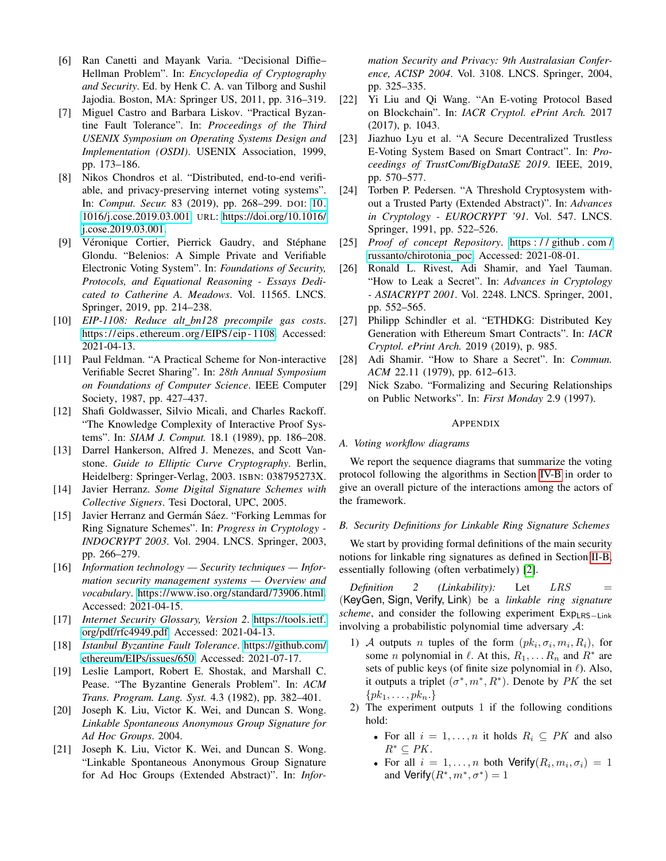- <span id="page-10-13"></span>[6] Ran Canetti and Mayank Varia. "Decisional Diffie– Hellman Problem". In: *Encyclopedia of Cryptography and Security*. Ed. by Henk C. A. van Tilborg and Sushil Jajodia. Boston, MA: Springer US, 2011, pp. 316–319.
- <span id="page-10-7"></span>[7] Miguel Castro and Barbara Liskov. "Practical Byzantine Fault Tolerance". In: *Proceedings of the Third USENIX Symposium on Operating Systems Design and Implementation (OSDI)*. USENIX Association, 1999, pp. 173–186.
- <span id="page-10-2"></span>[8] Nikos Chondros et al. "Distributed, end-to-end verifiable, and privacy-preserving internet voting systems". In: *Comput. Secur.* 83 (2019), pp. 268–299. DOI: [10.](https://doi.org/10.1016/j.cose.2019.03.001) [1016/j.cose.2019.03.001.](https://doi.org/10.1016/j.cose.2019.03.001) URL: [https://doi.org/10.1016/](https://doi.org/10.1016/j.cose.2019.03.001) [j.cose.2019.03.001.](https://doi.org/10.1016/j.cose.2019.03.001)
- <span id="page-10-1"></span>[9] Véronique Cortier, Pierrick Gaudry, and Stéphane Glondu. "Belenios: A Simple Private and Verifiable Electronic Voting System". In: *Foundations of Security, Protocols, and Equational Reasoning - Essays Dedicated to Catherine A. Meadows*. Vol. 11565. LNCS. Springer, 2019, pp. 214–238.
- <span id="page-10-20"></span>[10] *EIP-1108: Reduce alt bn128 precompile gas costs*. https://eips.ethereum.org/EIPS/eip-1108. Accessed: 2021-04-13.
- <span id="page-10-17"></span>[11] Paul Feldman. "A Practical Scheme for Non-interactive Verifiable Secret Sharing". In: *28th Annual Symposium on Foundations of Computer Science*. IEEE Computer Society, 1987, pp. 427–437.
- <span id="page-10-0"></span>[12] Shafi Goldwasser, Silvio Micali, and Charles Rackoff. "The Knowledge Complexity of Interactive Proof Systems". In: *SIAM J. Comput.* 18.1 (1989), pp. 186–208.
- <span id="page-10-12"></span>[13] Darrel Hankerson, Alfred J. Menezes, and Scott Vanstone. *Guide to Elliptic Curve Cryptography*. Berlin, Heidelberg: Springer-Verlag, 2003. ISBN: 038795273X.
- <span id="page-10-24"></span>[14] Javier Herranz. *Some Digital Signature Schemes with Collective Signers*. Tesi Doctoral, UPC, 2005.
- <span id="page-10-25"></span>[15] Javier Herranz and Germán Sáez. "Forking Lemmas for Ring Signature Schemes". In: *Progress in Cryptology - INDOCRYPT 2003*. Vol. 2904. LNCS. Springer, 2003, pp. 266–279.
- <span id="page-10-18"></span>[16] *Information technology — Security techniques — Information security management systems — Overview and vocabulary*. [https://www.iso.org/standard/73906.html.](https://www.iso.org/standard/73906.html) Accessed: 2021-04-15.
- <span id="page-10-19"></span>[17] *Internet Security Glossary, Version 2*. [https://tools.ietf.](https://tools.ietf.org/pdf/rfc4949.pdf) [org/pdf/rfc4949.pdf.](https://tools.ietf.org/pdf/rfc4949.pdf) Accessed: 2021-04-13.
- <span id="page-10-22"></span>[18] *Istanbul Byzantine Fault Tolerance*. [https://github.com/](https://github.com/ethereum/EIPs/issues/650) [ethereum/EIPs/issues/650.](https://github.com/ethereum/EIPs/issues/650) Accessed: 2021-07-17.
- <span id="page-10-8"></span>[19] Leslie Lamport, Robert E. Shostak, and Marshall C. Pease. "The Byzantine Generals Problem". In: *ACM Trans. Program. Lang. Syst.* 4.3 (1982), pp. 382–401.
- <span id="page-10-23"></span>[20] Joseph K. Liu, Victor K. Wei, and Duncan S. Wong. *Linkable Spontaneous Anonymous Group Signature for Ad Hoc Groups*. 2004.
- <span id="page-10-6"></span>[21] Joseph K. Liu, Victor K. Wei, and Duncan S. Wong. "Linkable Spontaneous Anonymous Group Signature for Ad Hoc Groups (Extended Abstract)". In: *Infor-*

*mation Security and Privacy: 9th Australasian Conference, ACISP 2004*. Vol. 3108. LNCS. Springer, 2004, pp. 325–335.

- <span id="page-10-4"></span>[22] Yi Liu and Qi Wang. "An E-voting Protocol Based on Blockchain". In: *IACR Cryptol. ePrint Arch.* 2017 (2017), p. 1043.
- <span id="page-10-5"></span>[23] Jiazhuo Lyu et al. "A Secure Decentralized Trustless E-Voting System Based on Smart Contract". In: *Proceedings of TrustCom/BigDataSE 2019*. IEEE, 2019, pp. 570–577.
- <span id="page-10-3"></span>[24] Torben P. Pedersen. "A Threshold Cryptosystem without a Trusted Party (Extended Abstract)". In: *Advances in Cryptology - EUROCRYPT '91*. Vol. 547. LNCS. Springer, 1991, pp. 522–526.
- <span id="page-10-21"></span>[25] *Proof of concept Repository*. [https : / / github . com /](https://github.com/russanto/chirotonia_poc) [russanto/chirotonia](https://github.com/russanto/chirotonia_poc) poc. Accessed: 2021-08-01.
- <span id="page-10-10"></span>[26] Ronald L. Rivest, Adi Shamir, and Yael Tauman. "How to Leak a Secret". In: *Advances in Cryptology - ASIACRYPT 2001*. Vol. 2248. LNCS. Springer, 2001, pp. 552–565.
- <span id="page-10-15"></span>[27] Philipp Schindler et al. "ETHDKG: Distributed Key Generation with Ethereum Smart Contracts". In: *IACR Cryptol. ePrint Arch.* 2019 (2019), p. 985.
- <span id="page-10-16"></span>[28] Adi Shamir. "How to Share a Secret". In: *Commun. ACM* 22.11 (1979), pp. 612–613.
- <span id="page-10-9"></span>[29] Nick Szabo. "Formalizing and Securing Relationships on Public Networks". In: *First Monday* 2.9 (1997).

#### APPENDIX

# <span id="page-10-14"></span>*A. Voting workflow diagrams*

We report the sequence diagrams that summarize the voting protocol following the algorithms in Section [IV-B](#page-4-0) in order to give an overall picture of the interactions among the actors of the framework.

# <span id="page-10-11"></span>*B. Security Definitions for Linkable Ring Signature Schemes*

We start by providing formal definitions of the main security notions for linkable ring signatures as defined in Section [II-B,](#page-1-1) essentially following (often verbatimely) [\[2\]](#page-9-3).

*Definition 2 (Linkability):* Let *LRS* = (KeyGen, Sign, Verify, Link) be a *linkable ring signature scheme*, and consider the following experiment Exp<sub>LRS−Link</sub> involving a probabilistic polynomial time adversary A:

- 1) A outputs *n* tuples of the form  $(pk_i, \sigma_i, m_i, R_i)$ , for some *n* polynomial in  $\ell$ . At this,  $R_1, \ldots, R_n$  and  $R^*$  are sets of public keys (of finite size polynomial in  $\ell$ ). Also, it outputs a triplet  $(\sigma^*, m^*, R^*)$ . Denote by PK the set  $\{pk_1, \ldots, pk_n.\}$
- 2) The experiment outputs 1 if the following conditions hold:
	- For all  $i = 1, ..., n$  it holds  $R_i \subseteq PK$  and also  $R^* \subset PK.$
	- For all  $i = 1, ..., n$  both  $Verify(R_i, m_i, \sigma_i) = 1$ and Verify $(R^*, m^*, \sigma^*) = 1$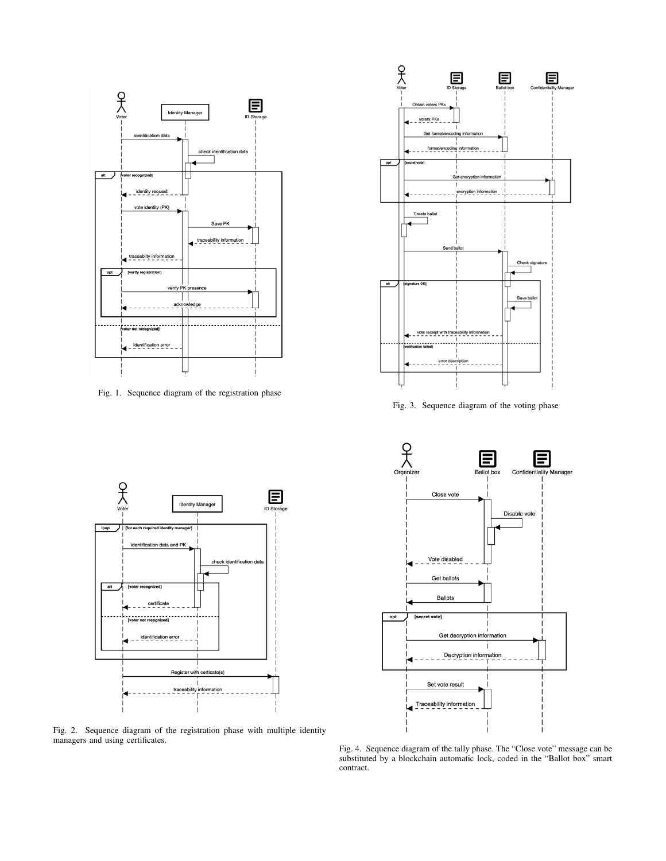

Fig. 1. Sequence diagram of the registration phase



Fig. 3. Sequence diagram of the voting phase





Fig. 2. Sequence diagram of the registration phase with multiple identity managers and using certificates.

Fig. 4. Sequence diagram of the tally phase. The "Close vote" message can be substituted by a blockchain automatic lock, coded in the "Ballot box" smart contract.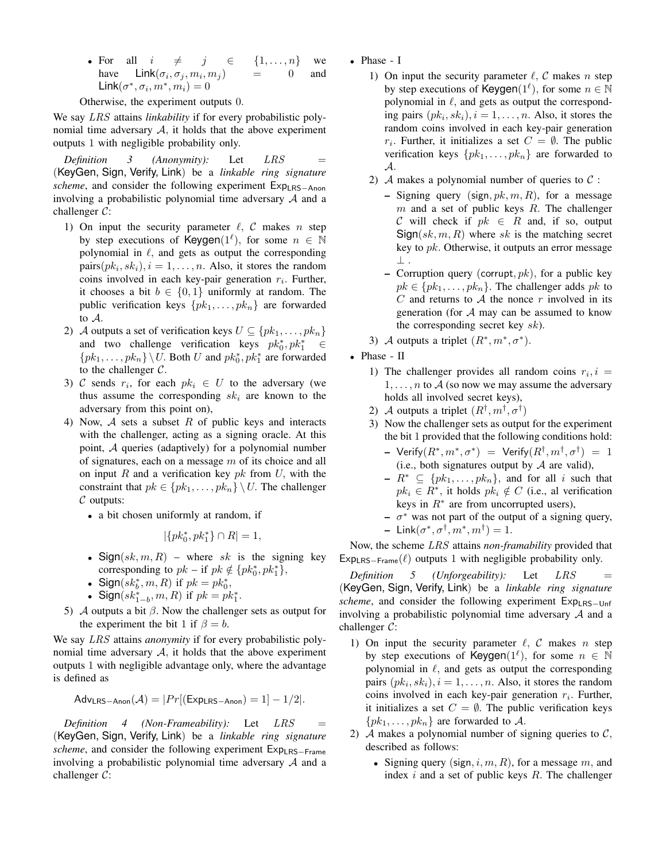• For all  $i \neq j \in \{1, ..., n\}$  we have  $\textsf{Link}(\sigma_i, \sigma_j, m_i, m_j)$  = 0 and Link $(\sigma^*, \sigma_i, m^*, m_i) = 0$ 

Otherwise, the experiment outputs 0.

We say LRS attains *linkability* if for every probabilistic polynomial time adversary  $A$ , it holds that the above experiment outputs 1 with negligible probability only.

<span id="page-12-0"></span>*Definition 3 (Anonymity):* Let *LRS* (KeyGen, Sign, Verify, Link) be a *linkable ring signature scheme*, and consider the following experiment Exp<sub>LRS−Anon</sub> involving a probabilistic polynomial time adversary  $A$  and a challenger C:

- 1) On input the security parameter  $\ell$ , C makes n step by step executions of Keygen( $1^{\ell}$ ), for some  $n \in \mathbb{N}$ polynomial in  $\ell$ , and gets as output the corresponding  $pairs(pk_i, sk_i), i = 1, \ldots, n$ . Also, it stores the random coins involved in each key-pair generation  $r_i$ . Further, it chooses a bit  $b \in \{0, 1\}$  uniformly at random. The public verification keys  $\{pk_1, \ldots, pk_n\}$  are forwarded to A.
- 2) A outputs a set of verification keys  $U \subseteq \{pk_1, \ldots, pk_n\}$ and two challenge verification keys  $pk_0^*, pk_1^* \in$  $\{pk_1, \ldots, pk_n\} \setminus U$ . Both U and  $pk_0^*$ ,  $pk_1^*$  are forwarded to the challenger  $C$ .
- 3) C sends  $r_i$ , for each  $pk_i \in U$  to the adversary (we thus assume the corresponding  $sk_i$  are known to the adversary from this point on),
- 4) Now,  $\mathcal A$  sets a subset R of public keys and interacts with the challenger, acting as a signing oracle. At this point, A queries (adaptively) for a polynomial number of signatures, each on a message  $m$  of its choice and all on input R and a verification key  $pk$  from U, with the constraint that  $pk \in \{pk_1, \ldots, pk_n\} \setminus U$ . The challenger  $\mathcal C$  outputs:
	- a bit chosen uniformly at random, if

$$
|\{pk_0^*, pk_1^*\} \cap R| = 1,
$$

- Sign(sk, m, R) where sk is the signing key corresponding to  $pk - if pk \notin \{pk_0^*, pk_1^*\},$
- Sign( $sk_b^*$ ,  $m, R$ ) if  $pk = pk_0^*$ ,
- Sign( $sk_{1-b}^*$ ,  $m, R$ ) if  $pk = pk_1^*$ .
- 5) A outputs a bit  $β$ . Now the challenger sets as output for the experiment the bit 1 if  $\beta = b$ .

We say LRS attains *anonymity* if for every probabilistic polynomial time adversary  $A$ , it holds that the above experiment outputs 1 with negligible advantage only, where the advantage is defined as

$$
\mathsf{Adv}_{\mathsf{LRS-Anon}}(\mathcal{A}) = |Pr[(\mathsf{Exp}_{\mathsf{LRS-Anon}}) = 1] - 1/2|.
$$

*Definition 4 (Non-Frameability):* Let *LRS* (KeyGen, Sign, Verify, Link) be a *linkable ring signature scheme*, and consider the following experiment Exp<sub>LRS−Frame</sub> involving a probabilistic polynomial time adversary  $A$  and a challenger C:

- Phase I
	- 1) On input the security parameter  $\ell$ , C makes n step by step executions of Keygen( $1^{\ell}$ ), for some  $n \in \mathbb{N}$ polynomial in  $\ell$ , and gets as output the corresponding pairs  $(pk_i, sk_i), i = 1, \ldots, n$ . Also, it stores the random coins involved in each key-pair generation  $r_i$ . Further, it initializes a set  $C = \emptyset$ . The public verification keys  $\{pk_1, \ldots, pk_n\}$  are forwarded to A.
	- 2) A makes a polynomial number of queries to  $\mathcal{C}$  :
		- Signing query (sign,  $pk, m, R$ ), for a message  $m$  and a set of public keys  $R$ . The challenger C will check if  $pk \in R$  and, if so, output  $Sign(sk, m, R)$  where sk is the matching secret key to  $pk$ . Otherwise, it outputs an error message ⊥ .
		- Corruption query (corrupt,  $pk$ ), for a public key  $pk \in \{pk_1, \ldots, pk_n\}$ . The challenger adds  $pk$  to  $C$  and returns to  $A$  the nonce  $r$  involved in its generation (for  $A$  may can be assumed to know the corresponding secret key  $sk$ ).
	- 3) A outputs a triplet  $(R^*, m^*, \sigma^*)$ .
- Phase II
	- 1) The challenger provides all random coins  $r_i$ ,  $i =$  $1, \ldots, n$  to A (so now we may assume the adversary holds all involved secret keys),
	- 2) A outputs a triplet  $(R^{\dagger}, m^{\dagger}, \sigma^{\dagger})$
	- 3) Now the challenger sets as output for the experiment the bit 1 provided that the following conditions hold:
		- $\hbox{--}\ \textsf{Verify}(R^*,m^*,\sigma^*)~=~\textsf{Verify}(R^\dagger,m^\dagger,\sigma^\dagger)~=~1$ (i.e., both signatures output by  $A$  are valid),
		- $R^* \subseteq \{pk_1, \ldots, pk_n\}$ , and for all i such that  $pk_i \in R^*$ , it holds  $pk_i \notin C$  (i.e., al verification keys in  $R^*$  are from uncorrupted users),
		- $\sigma^*$  was not part of the output of a signing query,
		- $\blacksquare$  Link $(\sigma^*, \sigma^\dagger, m^*, m^\dagger) = 1$ .

Now, the scheme LRS attains *non-framability* provided that  $Exp_{LRS-Frame}(\ell)$  outputs 1 with negligible probability only.

*Definition 5 (Unforgeability):* Let *LRS* = (KeyGen, Sign, Verify, Link) be a *linkable ring signature scheme*, and consider the following experiment Exp<sub>LRS−Unf</sub> involving a probabilistic polynomial time adversary  $A$  and a challenger C:

- 1) On input the security parameter  $\ell$ , C makes n step by step executions of Keygen( $1^{\ell}$ ), for some  $n \in \mathbb{N}$ polynomial in  $\ell$ , and gets as output the corresponding pairs  $(pk_i, sk_i), i = 1, \ldots, n$ . Also, it stores the random coins involved in each key-pair generation  $r_i$ . Further, it initializes a set  $C = \emptyset$ . The public verification keys  $\{pk_1, \ldots, pk_n\}$  are forwarded to A.
- 2) A makes a polynomial number of signing queries to  $\mathcal{C}$ , described as follows:
	- Signing query (sign,  $i, m, R$ ), for a message m, and index  $i$  and a set of public keys  $R$ . The challenger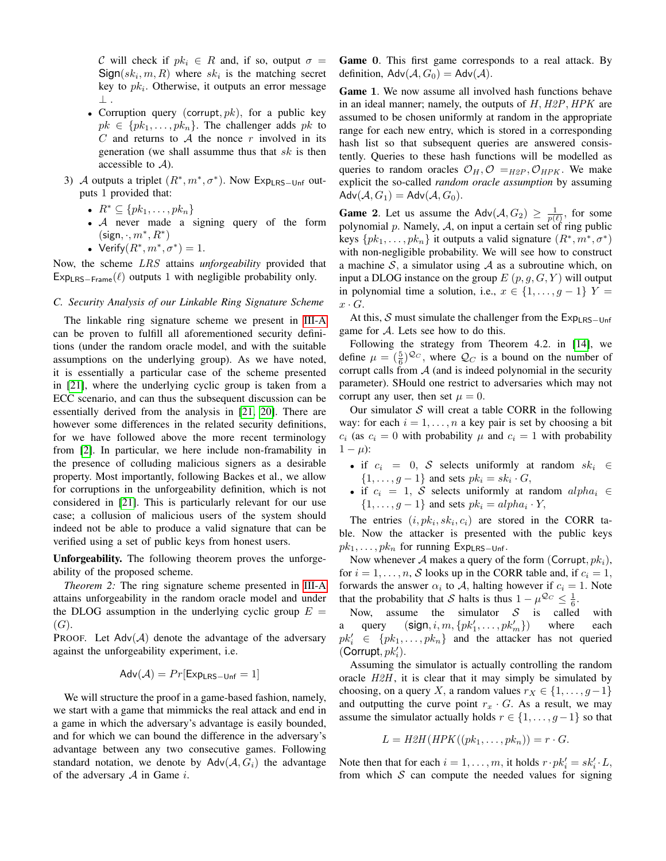C will check if  $pk_i \in R$  and, if so, output  $\sigma =$  $Sign(sk_i, m, R)$  where  $sk_i$  is the matching secret key to  $pk_i$ . Otherwise, it outputs an error message ⊥ .

- Corruption query (corrupt,  $pk$ ), for a public key  $pk \in \{pk_1, \ldots, pk_n\}$ . The challenger adds pk to  $C$  and returns to  $A$  the nonce  $r$  involved in its generation (we shall assumme thus that  $sk$  is then accessible to  $A$ ).
- 3) A outputs a triplet  $(R^*, m^*, \sigma^*)$ . Now Exp<sub>LRS-Unf</sub> outputs 1 provided that:
	- $R^* \subseteq \{pk_1, \ldots, pk_n\}$
	- A never made a signing query of the form  $(\mathsf{sign}, \cdot, m^*, R^*)$
	- Verify $(R^*, m^*, \sigma^*) = 1$ .

Now, the scheme LRS attains *unforgeability* provided that  $Exp_{LRS-Frame}(\ell)$  outputs 1 with negligible probability only.

### <span id="page-13-0"></span>*C. Security Analysis of our Linkable Ring Signature Scheme*

The linkable ring signature scheme we present in [III-A](#page-2-0) can be proven to fulfill all aforementioned security definitions (under the random oracle model, and with the suitable assumptions on the underlying group). As we have noted, it is essentially a particular case of the scheme presented in [\[21\]](#page-10-6), where the underlying cyclic group is taken from a ECC scenario, and can thus the subsequent discussion can be essentially derived from the analysis in [\[21,](#page-10-6) [20\]](#page-10-23). There are however some differences in the related security definitions, for we have followed above the more recent terminology from [\[2\]](#page-9-3). In particular, we here include non-framability in the presence of colluding malicious signers as a desirable property. Most importantly, following Backes et al., we allow for corruptions in the unforgeability definition, which is not considered in [\[21\]](#page-10-6). This is particularly relevant for our use case; a collusion of malicious users of the system should indeed not be able to produce a valid signature that can be verified using a set of public keys from honest users.

Unforgeability. The following theorem proves the unforgeability of the proposed scheme.

*Theorem 2:* The ring signature scheme presented in [III-A](#page-2-0) attains unforgeability in the random oracle model and under the DLOG assumption in the underlying cyclic group  $E =$  $(G).$ 

PROOF. Let  $Adv(A)$  denote the advantage of the adversary against the unforgeability experiment, i.e.

$$
Adv(\mathcal{A}) = Pr[Exp_{LRS-Unf} = 1]
$$

We will structure the proof in a game-based fashion, namely, we start with a game that mimmicks the real attack and end in a game in which the adversary's advantage is easily bounded, and for which we can bound the difference in the adversary's advantage between any two consecutive games. Following standard notation, we denote by  $Adv(A, G_i)$  the advantage of the adversary  $A$  in Game  $i$ .

Game 0. This first game corresponds to a real attack. By definition,  $Adv(A, G_0) = Adv(A)$ .

Game 1. We now assume all involved hash functions behave in an ideal manner; namely, the outputs of  $H$ ,  $H2P$ ,  $HPK$  are assumed to be chosen uniformly at random in the appropriate range for each new entry, which is stored in a corresponding hash list so that subsequent queries are answered consistently. Queries to these hash functions will be modelled as queries to random oracles  $\mathcal{O}_H, \mathcal{O} =_{H2P}, \mathcal{O}_{HPK}$ . We make explicit the so-called *random oracle assumption* by assuming  $\mathsf{Adv}(\mathcal{A}, G_1) = \mathsf{Adv}(\mathcal{A}, G_0).$ 

**Game 2.** Let us assume the Adv $(A, G_2) \geq \frac{1}{p(\ell)}$ , for some polynomial  $p$ . Namely,  $A$ , on input a certain set of ring public keys  $\{pk_1, \ldots, pk_n\}$  it outputs a valid signature  $(R^*, m^*, \sigma^*)$ with non-negligible probability. We will see how to construct a machine S, a simulator using A as a subroutine which, on input a DLOG instance on the group  $E(p, g, G, Y)$  will output in polynomial time a solution, i.e.,  $x \in \{1, \ldots, g-1\}$   $Y =$  $x \cdot G$ .

At this, S must simulate the challenger from the  $Exp_{LRS-Unfs}$ game for A. Lets see how to do this.

Following the strategy from Theorem 4.2. in [\[14\]](#page-10-24), we define  $\mu = (\frac{5}{6})^{\mathcal{Q}_C}$ , where  $\mathcal{Q}_C$  is a bound on the number of corrupt calls from  $A$  (and is indeed polynomial in the security parameter). SHould one restrict to adversaries which may not corrupt any user, then set  $\mu = 0$ .

Our simulator  $S$  will creat a table CORR in the following way: for each  $i = 1, \ldots, n$  a key pair is set by choosing a bit  $c_i$  (as  $c_i = 0$  with probability  $\mu$  and  $c_i = 1$  with probability  $1 - \mu$ :

- if  $c_i = 0$ , S selects uniformly at random  $sk_i \in$  $\{1, \ldots, g-1\}$  and sets  $pk_i = sk_i \cdot G$ ,
- if  $c_i = 1$ , S selects uniformly at random  $\alpha l p h a_i \in$  $\{1, \ldots, g-1\}$  and sets  $pk_i = alpha_i \cdot Y$ ,

The entries  $(i, pk_i, sk_i, c_i)$  are stored in the CORR table. Now the attacker is presented with the public keys  $pk_1, \ldots, pk_n$  for running Exp<sub>LRS−Unf</sub>.

Now whenever A makes a query of the form (Corrupt,  $pk_i$ ), for  $i = 1, \ldots, n$ , S looks up in the CORR table and, if  $c_i = 1$ , forwards the answer  $\alpha_i$  to A, halting however if  $c_i = 1$ . Note that the probability that S halts is thus  $1 - \mu^{\mathcal{Q}_C} \leq \frac{1}{6}$ .

Now, assume the simulator  $S$  is called with a query  $(\text{sign}, i, m, \{pk_1', \ldots, pk_i'\})$ where each  $pk'_i \in \{pk_1, \ldots, pk_n\}$  and the attacker has not queried  $(Corrupt, pk'_i).$ 

Assuming the simulator is actually controlling the random oracle  $H2H$ , it is clear that it may simply be simulated by choosing, on a query X, a random values  $r_X \in \{1, \ldots, g-1\}$ and outputting the curve point  $r_x \cdot G$ . As a result, we may assume the simulator actually holds  $r \in \{1, \ldots, g-1\}$  so that

$$
L = H2H(HPK((pk_1, \ldots, pk_n)) = r \cdot G.
$$

Note then that for each  $i = 1, \ldots, m$ , it holds  $r \cdot pk_i' = sk_i' \cdot L$ , from which  $S$  can compute the needed values for signing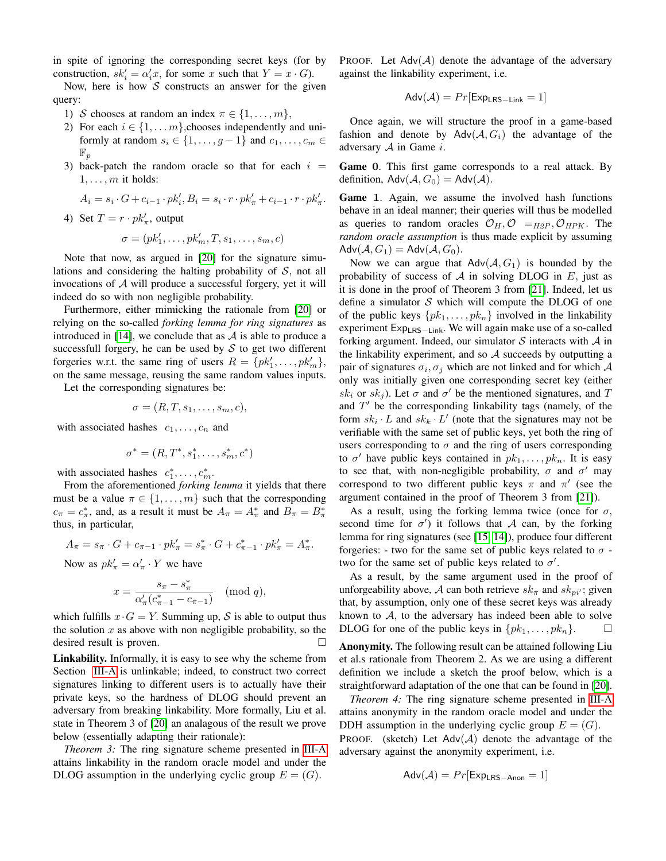in spite of ignoring the corresponding secret keys (for by construction,  $sk_i' = \alpha_i' x$ , for some x such that  $Y = x \cdot G$ .

Now, here is how  $S$  constructs an answer for the given query:

- 1) S chooses at random an index  $\pi \in \{1, \ldots, m\},\$
- 2) For each  $i \in \{1, \ldots m\}$ , chooses independently and uniformly at random  $s_i \in \{1, \ldots, g-1\}$  and  $c_1, \ldots, c_m \in$  $\mathbb{F}_p$
- 3) back-patch the random oracle so that for each  $i =$  $1, \ldots, m$  it holds:

$$
A_i = s_i \cdot G + c_{i-1} \cdot pk'_i, B_i = s_i \cdot r \cdot pk'_\pi + c_{i-1} \cdot r \cdot pk'_\pi.
$$

4) Set  $T = r \cdot pk'_\pi$ , output

$$
\sigma = (pk'_1, \dots, pk'_m, T, s_1, \dots, s_m, c)
$$

Note that now, as argued in [\[20\]](#page-10-23) for the signature simulations and considering the halting probability of  $S$ , not all invocations of A will produce a successful forgery, yet it will indeed do so with non negligible probability.

Furthermore, either mimicking the rationale from [\[20\]](#page-10-23) or relying on the so-called *forking lemma for ring signatures* as introduced in [\[14\]](#page-10-24), we conclude that as  $A$  is able to produce a successfull forgery, he can be used by  $S$  to get two different forgeries w.r.t. the same ring of users  $R = \{pk'_1, \ldots, pk'_m\},\$ on the same message, reusing the same random values inputs.

Let the corresponding signatures be:

$$
\sigma = (R, T, s_1, \dots, s_m, c),
$$

with associated hashes  $c_1, \ldots, c_n$  and

$$
\sigma^* = (R, T^*, s_1^*, \dots, s_m^*, c^*)
$$

with associated hashes  $c_1^*, \ldots, c_m^*$ .

From the aforementioned *forking lemma* it yields that there must be a value  $\pi \in \{1, \ldots, m\}$  such that the corresponding  $c_{\pi} = c_{\pi}^*$ , and, as a result it must be  $A_{\pi} = A_{\pi}^*$  and  $B_{\pi} = B_{\pi}^*$ thus, in particular,

$$
A_{\pi} = s_{\pi} \cdot G + c_{\pi - 1} \cdot pk_{\pi}' = s_{\pi}^* \cdot G + c_{\pi - 1}^* \cdot pk_{\pi}' = A_{\pi}^*.
$$

Now as  $pk'_{\pi} = \alpha'_{\pi} \cdot Y$  we have

$$
x=\frac{s_\pi-s_\pi^*}{\alpha_\pi'(c_{\pi-1}^*-c_{\pi-1})}\pmod{q},
$$

which fulfills  $x \cdot G = Y$ . Summing up, S is able to output thus the solution  $x$  as above with non negligible probability, so the desired result is proven.

Linkability. Informally, it is easy to see why the scheme from Section [III-A](#page-2-0) is unlinkable; indeed, to construct two correct signatures linking to different users is to actually have their private keys, so the hardness of DLOG should prevent an adversary from breaking linkability. More formally, Liu et al. state in Theorem 3 of [\[20\]](#page-10-23) an analagous of the result we prove below (essentially adapting their rationale):

*Theorem 3:* The ring signature scheme presented in [III-A](#page-2-0) attains linkability in the random oracle model and under the DLOG assumption in the underlying cyclic group  $E = (G)$ .

PROOF. Let  $Adv(A)$  denote the advantage of the adversary against the linkability experiment, i.e.

$$
Adv(\mathcal{A}) = Pr[Exp_{LRS-Link} = 1]
$$

Once again, we will structure the proof in a game-based fashion and denote by Adv $(A, G_i)$  the advantage of the adversary  $A$  in Game  $i$ .

Game 0. This first game corresponds to a real attack. By definition,  $\mathsf{Adv}(\mathcal{A}, G_0) = \mathsf{Adv}(\mathcal{A})$ .

Game 1. Again, we assume the involved hash functions behave in an ideal manner; their queries will thus be modelled as queries to random oracles  $\mathcal{O}_H, \mathcal{O} =_{H2P}, \mathcal{O}_{HPK}$ . The *random oracle assumption* is thus made explicit by assuming  $\mathsf{Adv}(\mathcal{A}, G_1) = \mathsf{Adv}(\mathcal{A}, G_0).$ 

Now we can argue that  $Adv(A, G_1)$  is bounded by the probability of success of  $A$  in solving DLOG in  $E$ , just as it is done in the proof of Theorem 3 from [\[21\]](#page-10-6). Indeed, let us define a simulator  $S$  which will compute the DLOG of one of the public keys  $\{pk_1, \ldots, pk_n\}$  involved in the linkability experiment Exp<sub>LRS−Link</sub>. We will again make use of a so-called forking argument. Indeed, our simulator  $S$  interacts with  $A$  in the linkability experiment, and so  $A$  succeeds by outputting a pair of signatures  $\sigma_i$ ,  $\sigma_j$  which are not linked and for which A only was initially given one corresponding secret key (either sk<sub>i</sub> or sk<sub>j</sub>). Let  $\sigma$  and  $\sigma'$  be the mentioned signatures, and T and  $T'$  be the corresponding linkability tags (namely, of the form  $sk_i \cdot L$  and  $sk_k \cdot L'$  (note that the signatures may not be verifiable with the same set of public keys, yet both the ring of users corresponding to  $\sigma$  and the ring of users corresponding to  $\sigma'$  have public keys contained in  $pk_1, \ldots, pk_n$ . It is easy to see that, with non-negligible probability,  $\sigma$  and  $\sigma'$  may correspond to two different public keys  $\pi$  and  $\pi'$  (see the argument contained in the proof of Theorem 3 from [\[21\]](#page-10-6)).

As a result, using the forking lemma twice (once for  $\sigma$ , second time for  $\sigma'$ ) it follows that A can, by the forking lemma for ring signatures (see [\[15,](#page-10-25) [14\]](#page-10-24)), produce four different forgeries: - two for the same set of public keys related to  $\sigma$  two for the same set of public keys related to  $\sigma'$ .

As a result, by the same argument used in the proof of unforgeability above, A can both retrieve  $sk_{\pi}$  and  $sk_{pi'}$ ; given that, by assumption, only one of these secret keys was already known to  $A$ , to the adversary has indeed been able to solve DLOG for one of the public keys in  $\{pk_1, \ldots, pk_n\}$ .

Anonymity. The following result can be attained following Liu et al.s rationale from Theorem 2. As we are using a different definition we include a sketch the proof below, which is a straightforward adaptation of the one that can be found in [\[20\]](#page-10-23).

*Theorem 4:* The ring signature scheme presented in [III-A](#page-2-0) attains anonymity in the random oracle model and under the DDH assumption in the underlying cyclic group  $E = (G)$ .

PROOF. (sketch) Let  $Adv(A)$  denote the advantage of the adversary against the anonymity experiment, i.e.

$$
Adv(\mathcal{A}) = Pr[Exp_{LRS-Anon} = 1]
$$